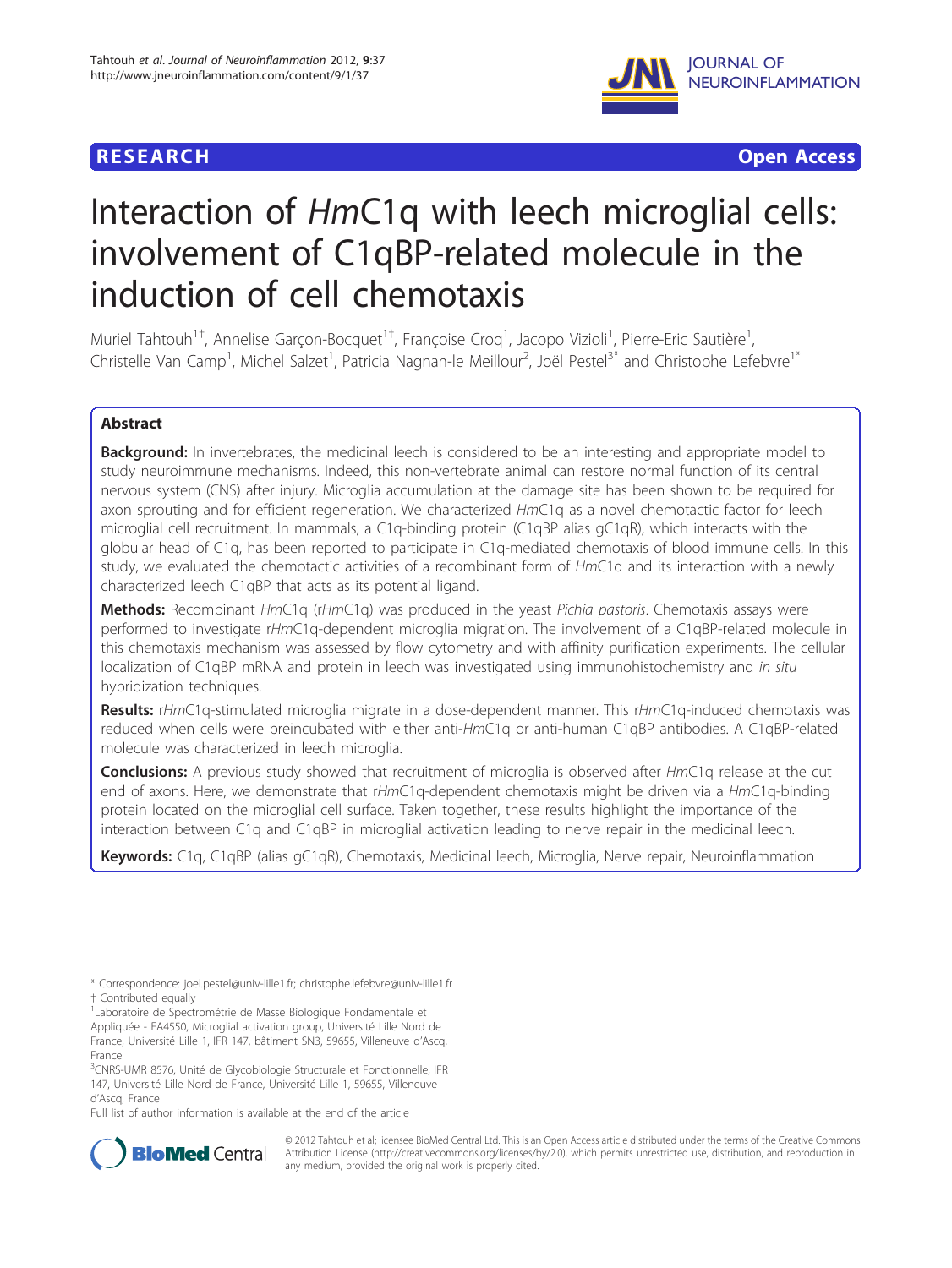

**RESEARCH CONSTRUCTION CONSTRUCTS** 

# Interaction of HmC1q with leech microglial cells: involvement of C1qBP-related molecule in the induction of cell chemotaxis

Muriel Tahtouh<sup>1†</sup>, Annelise Garçon-Bocquet<sup>1†</sup>, Françoise Croq<sup>1</sup>, Jacopo Vizioli<sup>1</sup>, Pierre-Eric Sautière<sup>1</sup> , Christelle Van Camp<sup>1</sup>, Michel Salzet<sup>1</sup>, Patricia Nagnan-le Meillour<sup>2</sup>, Joël Pestel<sup>3\*</sup> and Christophe Lefebvre<sup>1\*</sup>

# Abstract

**Background:** In invertebrates, the medicinal leech is considered to be an interesting and appropriate model to study neuroimmune mechanisms. Indeed, this non-vertebrate animal can restore normal function of its central nervous system (CNS) after injury. Microglia accumulation at the damage site has been shown to be required for axon sprouting and for efficient regeneration. We characterized HmC1q as a novel chemotactic factor for leech microglial cell recruitment. In mammals, a C1q-binding protein (C1qBP alias gC1qR), which interacts with the globular head of C1q, has been reported to participate in C1q-mediated chemotaxis of blood immune cells. In this study, we evaluated the chemotactic activities of a recombinant form of HmC1q and its interaction with a newly characterized leech C1qBP that acts as its potential ligand.

Methods: Recombinant HmC1q (rHmC1q) was produced in the yeast Pichia pastoris. Chemotaxis assays were performed to investigate rHmC1q-dependent microglia migration. The involvement of a C1qBP-related molecule in this chemotaxis mechanism was assessed by flow cytometry and with affinity purification experiments. The cellular localization of C1qBP mRNA and protein in leech was investigated using immunohistochemistry and in situ hybridization techniques.

Results: rHmC1q-stimulated microglia migrate in a dose-dependent manner. This rHmC1q-induced chemotaxis was reduced when cells were preincubated with either anti-HmC1q or anti-human C1qBP antibodies. A C1qBP-related molecule was characterized in leech microglia.

Conclusions: A previous study showed that recruitment of microglia is observed after HmC1q release at the cut end of axons. Here, we demonstrate that rHmC1q-dependent chemotaxis might be driven via a HmC1q-binding protein located on the microglial cell surface. Taken together, these results highlight the importance of the interaction between C1q and C1qBP in microglial activation leading to nerve repair in the medicinal leech.

Keywords: C1q, C1qBP (alias gC1qR), Chemotaxis, Medicinal leech, Microglia, Nerve repair, Neuroinflammation

Full list of author information is available at the end of the article



© 2012 Tahtouh et al; licensee BioMed Central Ltd. This is an Open Access article distributed under the terms of the Creative Commons Attribution License [\(http://creativecommons.org/licenses/by/2.0](http://creativecommons.org/licenses/by/2.0)), which permits unrestricted use, distribution, and reproduction in any medium, provided the original work is properly cited.

<sup>\*</sup> Correspondence: [joel.pestel@univ-lille1.fr;](mailto:joel.pestel@univ-lille1.fr) [christophe.lefebvre@univ-lille1.fr](mailto:christophe.lefebvre@univ-lille1.fr) † Contributed equally <sup>1</sup>

<sup>&</sup>lt;sup>1</sup> Laboratoire de Spectrométrie de Masse Biologique Fondamentale et Appliquée - EA4550, Microglial activation group, Université Lille Nord de France, Université Lille 1, IFR 147, bâtiment SN3, 59655, Villeneuve d'Ascq, France

<sup>&</sup>lt;sup>3</sup>CNRS-UMR 8576, Unité de Glycobiologie Structurale et Fonctionnelle, IFR 147, Université Lille Nord de France, Université Lille 1, 59655, Villeneuve d'Ascq, France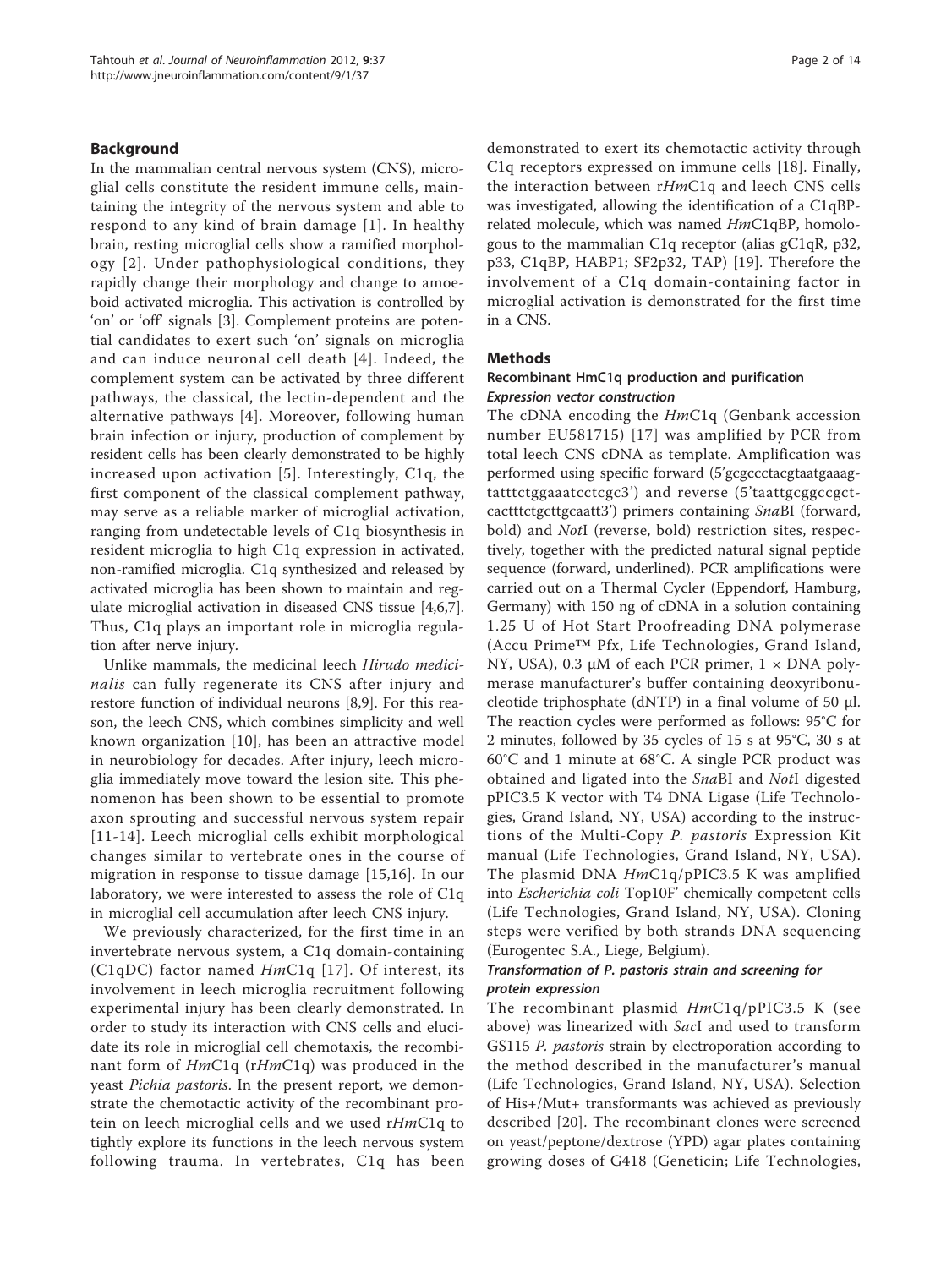#### Background

In the mammalian central nervous system (CNS), microglial cells constitute the resident immune cells, maintaining the integrity of the nervous system and able to respond to any kind of brain damage [[1\]](#page-12-0). In healthy brain, resting microglial cells show a ramified morphology [[2\]](#page-12-0). Under pathophysiological conditions, they rapidly change their morphology and change to amoeboid activated microglia. This activation is controlled by 'on' or 'off' signals [\[3](#page-12-0)]. Complement proteins are potential candidates to exert such 'on' signals on microglia and can induce neuronal cell death [[4](#page-12-0)]. Indeed, the complement system can be activated by three different pathways, the classical, the lectin-dependent and the alternative pathways [\[4\]](#page-12-0). Moreover, following human brain infection or injury, production of complement by resident cells has been clearly demonstrated to be highly increased upon activation [\[5](#page-12-0)]. Interestingly, C1q, the first component of the classical complement pathway, may serve as a reliable marker of microglial activation, ranging from undetectable levels of C1q biosynthesis in resident microglia to high C1q expression in activated, non-ramified microglia. C1q synthesized and released by activated microglia has been shown to maintain and regulate microglial activation in diseased CNS tissue [\[4,6,7](#page-12-0)]. Thus, C1q plays an important role in microglia regulation after nerve injury.

Unlike mammals, the medicinal leech Hirudo medicinalis can fully regenerate its CNS after injury and restore function of individual neurons [\[8,9](#page-12-0)]. For this reason, the leech CNS, which combines simplicity and well known organization [[10](#page-12-0)], has been an attractive model in neurobiology for decades. After injury, leech microglia immediately move toward the lesion site. This phenomenon has been shown to be essential to promote axon sprouting and successful nervous system repair [[11-14\]](#page-12-0). Leech microglial cells exhibit morphological changes similar to vertebrate ones in the course of migration in response to tissue damage [[15,16\]](#page-12-0). In our laboratory, we were interested to assess the role of C1q in microglial cell accumulation after leech CNS injury.

We previously characterized, for the first time in an invertebrate nervous system, a C1q domain-containing (C1qDC) factor named  $HmC1q$  [[17](#page-13-0)]. Of interest, its involvement in leech microglia recruitment following experimental injury has been clearly demonstrated. In order to study its interaction with CNS cells and elucidate its role in microglial cell chemotaxis, the recombinant form of HmC1q (rHmC1q) was produced in the yeast Pichia pastoris. In the present report, we demonstrate the chemotactic activity of the recombinant protein on leech microglial cells and we used rHmC1q to tightly explore its functions in the leech nervous system following trauma. In vertebrates, C1q has been demonstrated to exert its chemotactic activity through C1q receptors expressed on immune cells [\[18\]](#page-13-0). Finally, the interaction between rHmC1q and leech CNS cells was investigated, allowing the identification of a C1qBPrelated molecule, which was named HmC1qBP, homologous to the mammalian C1q receptor (alias gC1qR, p32, p33, C1qBP, HABP1; SF2p32, TAP) [[19](#page-13-0)]. Therefore the involvement of a C1q domain-containing factor in microglial activation is demonstrated for the first time in a CNS.

#### Methods

#### Recombinant HmC1q production and purification Expression vector construction

The cDNA encoding the HmC1q (Genbank accession number [EU581715\)](http://www.ncbi.nih.gov/entrez/query.fcgi?db=Nucleotide&cmd=search&term=EU581715) [\[17\]](#page-13-0) was amplified by PCR from total leech CNS cDNA as template. Amplification was performed using specific forward (5'gcgccctacgtaatgaaagtatttctggaaatcctcgc3') and reverse (5'taattgcggccgctcactttctgcttgcaatt3') primers containing SnaBI (forward, bold) and *NotI* (reverse, bold) restriction sites, respectively, together with the predicted natural signal peptide sequence (forward, underlined). PCR amplifications were carried out on a Thermal Cycler (Eppendorf, Hamburg, Germany) with 150 ng of cDNA in a solution containing 1.25 U of Hot Start Proofreading DNA polymerase (Accu Prime™ Pfx, Life Technologies, Grand Island, NY, USA), 0.3 μM of each PCR primer, 1 × DNA polymerase manufacturer's buffer containing deoxyribonucleotide triphosphate (dNTP) in a final volume of 50 μl. The reaction cycles were performed as follows: 95°C for 2 minutes, followed by 35 cycles of 15 s at 95°C, 30 s at 60°C and 1 minute at 68°C. A single PCR product was obtained and ligated into the SnaBI and NotI digested pPIC3.5 K vector with T4 DNA Ligase (Life Technologies, Grand Island, NY, USA) according to the instructions of the Multi-Copy P. pastoris Expression Kit manual (Life Technologies, Grand Island, NY, USA). The plasmid DNA HmC1q/pPIC3.5 K was amplified into Escherichia coli Top10F' chemically competent cells (Life Technologies, Grand Island, NY, USA). Cloning steps were verified by both strands DNA sequencing (Eurogentec S.A., Liege, Belgium).

# Transformation of P. pastoris strain and screening for protein expression

The recombinant plasmid  $HmClq/pPLC3.5$  K (see above) was linearized with SacI and used to transform GS115 *P. pastoris* strain by electroporation according to the method described in the manufacturer's manual (Life Technologies, Grand Island, NY, USA). Selection of His+/Mut+ transformants was achieved as previously described [[20\]](#page-13-0). The recombinant clones were screened on yeast/peptone/dextrose (YPD) agar plates containing growing doses of G418 (Geneticin; Life Technologies,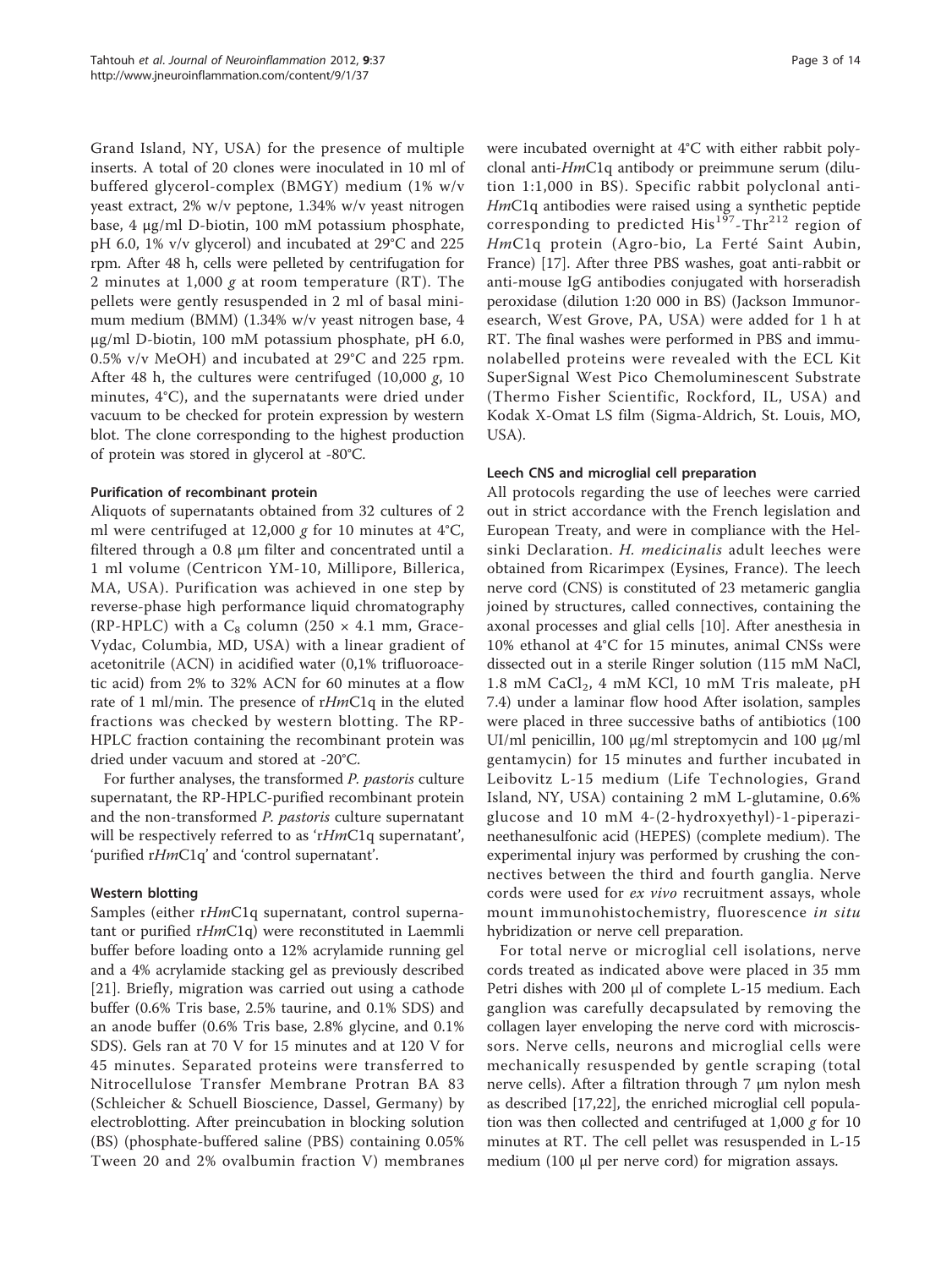Grand Island, NY, USA) for the presence of multiple inserts. A total of 20 clones were inoculated in 10 ml of buffered glycerol-complex (BMGY) medium (1% w/v yeast extract, 2% w/v peptone, 1.34% w/v yeast nitrogen base, 4 μg/ml D-biotin, 100 mM potassium phosphate, pH 6.0, 1% v/v glycerol) and incubated at 29°C and 225 rpm. After 48 h, cells were pelleted by centrifugation for 2 minutes at 1,000 g at room temperature  $(RT)$ . The pellets were gently resuspended in 2 ml of basal minimum medium (BMM) (1.34% w/v yeast nitrogen base, 4 μg/ml D-biotin, 100 mM potassium phosphate, pH 6.0, 0.5% v/v MeOH) and incubated at 29°C and 225 rpm. After 48 h, the cultures were centrifuged (10,000 g, 10 minutes, 4°C), and the supernatants were dried under vacuum to be checked for protein expression by western blot. The clone corresponding to the highest production of protein was stored in glycerol at -80°C.

#### Purification of recombinant protein

Aliquots of supernatants obtained from 32 cultures of 2 ml were centrifuged at 12,000 g for 10 minutes at  $4^{\circ}C$ , filtered through a 0.8 μm filter and concentrated until a 1 ml volume (Centricon YM-10, Millipore, Billerica, MA, USA). Purification was achieved in one step by reverse-phase high performance liquid chromatography (RP-HPLC) with a  $C_8$  column (250  $\times$  4.1 mm, Grace-Vydac, Columbia, MD, USA) with a linear gradient of acetonitrile (ACN) in acidified water (0,1% trifluoroacetic acid) from 2% to 32% ACN for 60 minutes at a flow rate of 1 ml/min. The presence of rHmC1q in the eluted fractions was checked by western blotting. The RP-HPLC fraction containing the recombinant protein was dried under vacuum and stored at -20°C.

For further analyses, the transformed P. pastoris culture supernatant, the RP-HPLC-purified recombinant protein and the non-transformed P. pastoris culture supernatant will be respectively referred to as 'rHmC1q supernatant', 'purified rHmC1q' and 'control supernatant'.

## Western blotting

Samples (either rHmC1q supernatant, control supernatant or purified rHmC1q) were reconstituted in Laemmli buffer before loading onto a 12% acrylamide running gel and a 4% acrylamide stacking gel as previously described [[21\]](#page-13-0). Briefly, migration was carried out using a cathode buffer (0.6% Tris base, 2.5% taurine, and 0.1% SDS) and an anode buffer (0.6% Tris base, 2.8% glycine, and 0.1% SDS). Gels ran at 70 V for 15 minutes and at 120 V for 45 minutes. Separated proteins were transferred to Nitrocellulose Transfer Membrane Protran BA 83 (Schleicher & Schuell Bioscience, Dassel, Germany) by electroblotting. After preincubation in blocking solution (BS) (phosphate-buffered saline (PBS) containing 0.05% Tween 20 and 2% ovalbumin fraction V) membranes were incubated overnight at 4°C with either rabbit polyclonal anti-HmC1q antibody or preimmune serum (dilution 1:1,000 in BS). Specific rabbit polyclonal anti-HmC1q antibodies were raised using a synthetic peptide corresponding to predicted  $His^{197}$ -Thr<sup>212</sup> region of HmC1q protein (Agro-bio, La Ferté Saint Aubin, France) [[17\]](#page-13-0). After three PBS washes, goat anti-rabbit or anti-mouse IgG antibodies conjugated with horseradish peroxidase (dilution 1:20 000 in BS) (Jackson Immunoresearch, West Grove, PA, USA) were added for 1 h at RT. The final washes were performed in PBS and immunolabelled proteins were revealed with the ECL Kit SuperSignal West Pico Chemoluminescent Substrate (Thermo Fisher Scientific, Rockford, IL, USA) and Kodak X-Omat LS film (Sigma-Aldrich, St. Louis, MO, USA).

#### Leech CNS and microglial cell preparation

All protocols regarding the use of leeches were carried out in strict accordance with the French legislation and European Treaty, and were in compliance with the Helsinki Declaration. H. medicinalis adult leeches were obtained from Ricarimpex (Eysines, France). The leech nerve cord (CNS) is constituted of 23 metameric ganglia joined by structures, called connectives, containing the axonal processes and glial cells [\[10](#page-12-0)]. After anesthesia in 10% ethanol at 4°C for 15 minutes, animal CNSs were dissected out in a sterile Ringer solution (115 mM NaCl, 1.8 mM CaCl<sub>2</sub>, 4 mM KCl, 10 mM Tris maleate, pH 7.4) under a laminar flow hood After isolation, samples were placed in three successive baths of antibiotics (100 UI/ml penicillin, 100 μg/ml streptomycin and 100 μg/ml gentamycin) for 15 minutes and further incubated in Leibovitz L-15 medium (Life Technologies, Grand Island, NY, USA) containing 2 mM L-glutamine, 0.6% glucose and 10 mM 4-(2-hydroxyethyl)-1-piperazineethanesulfonic acid (HEPES) (complete medium). The experimental injury was performed by crushing the connectives between the third and fourth ganglia. Nerve cords were used for ex vivo recruitment assays, whole mount immunohistochemistry, fluorescence in situ hybridization or nerve cell preparation.

For total nerve or microglial cell isolations, nerve cords treated as indicated above were placed in 35 mm Petri dishes with 200 μl of complete L-15 medium. Each ganglion was carefully decapsulated by removing the collagen layer enveloping the nerve cord with microscissors. Nerve cells, neurons and microglial cells were mechanically resuspended by gentle scraping (total nerve cells). After a filtration through 7 μm nylon mesh as described [\[17,22\]](#page-13-0), the enriched microglial cell population was then collected and centrifuged at  $1,000 \, g$  for  $10$ minutes at RT. The cell pellet was resuspended in L-15 medium (100 μl per nerve cord) for migration assays.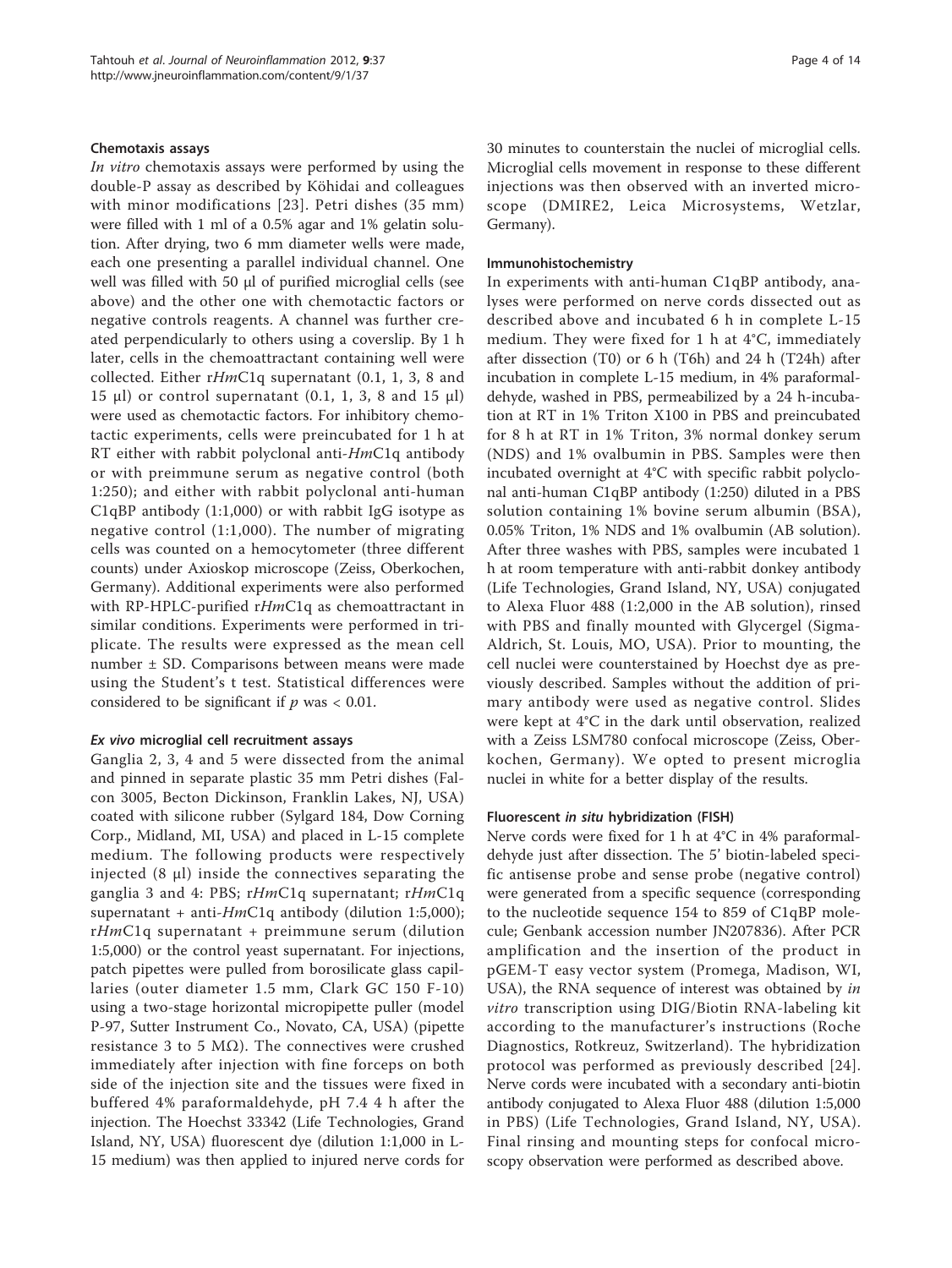#### Chemotaxis assays

In vitro chemotaxis assays were performed by using the double-P assay as described by Köhidai and colleagues with minor modifications [[23](#page-13-0)]. Petri dishes (35 mm) were filled with 1 ml of a 0.5% agar and 1% gelatin solution. After drying, two 6 mm diameter wells were made, each one presenting a parallel individual channel. One well was filled with 50 μl of purified microglial cells (see above) and the other one with chemotactic factors or negative controls reagents. A channel was further created perpendicularly to others using a coverslip. By 1 h later, cells in the chemoattractant containing well were collected. Either rHmC1q supernatant (0.1, 1, 3, 8 and 15 μl) or control supernatant  $(0.1, 1, 3, 8$  and 15 μl) were used as chemotactic factors. For inhibitory chemotactic experiments, cells were preincubated for 1 h at RT either with rabbit polyclonal anti-HmC1q antibody or with preimmune serum as negative control (both 1:250); and either with rabbit polyclonal anti-human C1qBP antibody (1:1,000) or with rabbit IgG isotype as negative control (1:1,000). The number of migrating cells was counted on a hemocytometer (three different counts) under Axioskop microscope (Zeiss, Oberkochen, Germany). Additional experiments were also performed with  $RP$ -HPLC-purified  $rHmClq$  as chemoattractant in similar conditions. Experiments were performed in triplicate. The results were expressed as the mean cell number ± SD. Comparisons between means were made using the Student's t test. Statistical differences were considered to be significant if  $p$  was < 0.01.

#### Ex vivo microglial cell recruitment assays

Ganglia 2, 3, 4 and 5 were dissected from the animal and pinned in separate plastic 35 mm Petri dishes (Falcon 3005, Becton Dickinson, Franklin Lakes, NJ, USA) coated with silicone rubber (Sylgard 184, Dow Corning Corp., Midland, MI, USA) and placed in L-15 complete medium. The following products were respectively injected  $(8 \mu l)$  inside the connectives separating the ganglia 3 and 4: PBS; rHmC1q supernatant; rHmC1q supernatant + anti- $HmC1q$  antibody (dilution 1:5,000); rHmC1q supernatant + preimmune serum (dilution 1:5,000) or the control yeast supernatant. For injections, patch pipettes were pulled from borosilicate glass capillaries (outer diameter 1.5 mm, Clark GC 150 F-10) using a two-stage horizontal micropipette puller (model P-97, Sutter Instrument Co., Novato, CA, USA) (pipette resistance 3 to 5 M $\Omega$ ). The connectives were crushed immediately after injection with fine forceps on both side of the injection site and the tissues were fixed in buffered 4% paraformaldehyde, pH 7.4 4 h after the injection. The Hoechst 33342 (Life Technologies, Grand Island, NY, USA) fluorescent dye (dilution 1:1,000 in L-15 medium) was then applied to injured nerve cords for 30 minutes to counterstain the nuclei of microglial cells. Microglial cells movement in response to these different injections was then observed with an inverted microscope (DMIRE2, Leica Microsystems, Wetzlar, Germany).

#### Immunohistochemistry

In experiments with anti-human C1qBP antibody, analyses were performed on nerve cords dissected out as described above and incubated 6 h in complete L-15 medium. They were fixed for 1 h at 4°C, immediately after dissection (T0) or 6 h (T6h) and 24 h (T24h) after incubation in complete L-15 medium, in 4% paraformaldehyde, washed in PBS, permeabilized by a 24 h-incubation at RT in 1% Triton X100 in PBS and preincubated for 8 h at RT in 1% Triton, 3% normal donkey serum (NDS) and 1% ovalbumin in PBS. Samples were then incubated overnight at 4°C with specific rabbit polyclonal anti-human C1qBP antibody (1:250) diluted in a PBS solution containing 1% bovine serum albumin (BSA), 0.05% Triton, 1% NDS and 1% ovalbumin (AB solution). After three washes with PBS, samples were incubated 1 h at room temperature with anti-rabbit donkey antibody (Life Technologies, Grand Island, NY, USA) conjugated to Alexa Fluor 488 (1:2,000 in the AB solution), rinsed with PBS and finally mounted with Glycergel (Sigma-Aldrich, St. Louis, MO, USA). Prior to mounting, the cell nuclei were counterstained by Hoechst dye as previously described. Samples without the addition of primary antibody were used as negative control. Slides were kept at 4°C in the dark until observation, realized with a Zeiss LSM780 confocal microscope (Zeiss, Oberkochen, Germany). We opted to present microglia nuclei in white for a better display of the results.

#### Fluorescent in situ hybridization (FISH)

Nerve cords were fixed for 1 h at 4°C in 4% paraformaldehyde just after dissection. The 5' biotin-labeled specific antisense probe and sense probe (negative control) were generated from a specific sequence (corresponding to the nucleotide sequence 154 to 859 of C1qBP molecule; Genbank accession number [JN207836\)](http://www.ncbi.nih.gov/entrez/query.fcgi?db=Nucleotide&cmd=search&term=JN207836). After PCR amplification and the insertion of the product in pGEM-T easy vector system (Promega, Madison, WI, USA), the RNA sequence of interest was obtained by in vitro transcription using DIG/Biotin RNA-labeling kit according to the manufacturer's instructions (Roche Diagnostics, Rotkreuz, Switzerland). The hybridization protocol was performed as previously described [[24\]](#page-13-0). Nerve cords were incubated with a secondary anti-biotin antibody conjugated to Alexa Fluor 488 (dilution 1:5,000 in PBS) (Life Technologies, Grand Island, NY, USA). Final rinsing and mounting steps for confocal microscopy observation were performed as described above.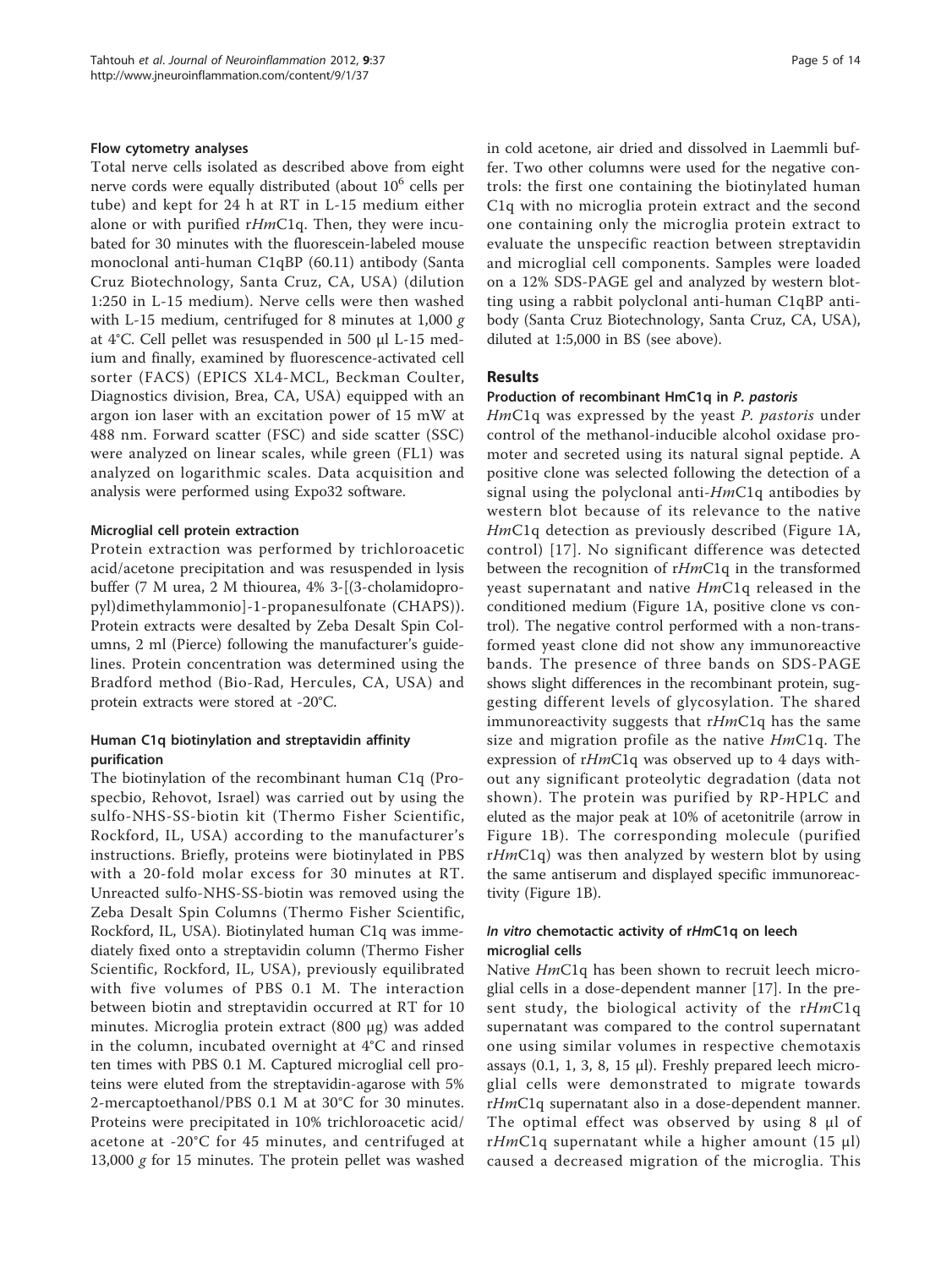#### Flow cytometry analyses

Total nerve cells isolated as described above from eight nerve cords were equally distributed (about  $10^6$  cells per tube) and kept for 24 h at RT in L-15 medium either alone or with purified rHmC1q. Then, they were incubated for 30 minutes with the fluorescein-labeled mouse monoclonal anti-human C1qBP (60.11) antibody (Santa Cruz Biotechnology, Santa Cruz, CA, USA) (dilution 1:250 in L-15 medium). Nerve cells were then washed with L-15 medium, centrifuged for 8 minutes at 1,000  $g$ at 4°C. Cell pellet was resuspended in 500 μl L-15 medium and finally, examined by fluorescence-activated cell sorter (FACS) (EPICS XL4-MCL, Beckman Coulter, Diagnostics division, Brea, CA, USA) equipped with an argon ion laser with an excitation power of 15 mW at 488 nm. Forward scatter (FSC) and side scatter (SSC) were analyzed on linear scales, while green (FL1) was analyzed on logarithmic scales. Data acquisition and analysis were performed using Expo32 software.

#### Microglial cell protein extraction

Protein extraction was performed by trichloroacetic acid/acetone precipitation and was resuspended in lysis buffer (7 M urea, 2 M thiourea, 4% 3-[(3-cholamidopropyl)dimethylammonio]-1-propanesulfonate (CHAPS)). Protein extracts were desalted by Zeba Desalt Spin Columns, 2 ml (Pierce) following the manufacturer's guidelines. Protein concentration was determined using the Bradford method (Bio-Rad, Hercules, CA, USA) and protein extracts were stored at -20°C.

# Human C1q biotinylation and streptavidin affinity purification

The biotinylation of the recombinant human C1q (Prospecbio, Rehovot, Israel) was carried out by using the sulfo-NHS-SS-biotin kit (Thermo Fisher Scientific, Rockford, IL, USA) according to the manufacturer's instructions. Briefly, proteins were biotinylated in PBS with a 20-fold molar excess for 30 minutes at RT. Unreacted sulfo-NHS-SS-biotin was removed using the Zeba Desalt Spin Columns (Thermo Fisher Scientific, Rockford, IL, USA). Biotinylated human C1q was immediately fixed onto a streptavidin column (Thermo Fisher Scientific, Rockford, IL, USA), previously equilibrated with five volumes of PBS 0.1 M. The interaction between biotin and streptavidin occurred at RT for 10 minutes. Microglia protein extract (800 μg) was added in the column, incubated overnight at 4°C and rinsed ten times with PBS 0.1 M. Captured microglial cell proteins were eluted from the streptavidin-agarose with 5% 2-mercaptoethanol/PBS 0.1 M at 30°C for 30 minutes. Proteins were precipitated in 10% trichloroacetic acid/ acetone at -20°C for 45 minutes, and centrifuged at 13,000 g for 15 minutes. The protein pellet was washed in cold acetone, air dried and dissolved in Laemmli buffer. Two other columns were used for the negative controls: the first one containing the biotinylated human C1q with no microglia protein extract and the second one containing only the microglia protein extract to evaluate the unspecific reaction between streptavidin and microglial cell components. Samples were loaded on a 12% SDS-PAGE gel and analyzed by western blotting using a rabbit polyclonal anti-human C1qBP antibody (Santa Cruz Biotechnology, Santa Cruz, CA, USA), diluted at 1:5,000 in BS (see above).

## **Results**

#### Production of recombinant HmC1q in P. pastoris

HmC1q was expressed by the yeast P. pastoris under control of the methanol-inducible alcohol oxidase promoter and secreted using its natural signal peptide. A positive clone was selected following the detection of a signal using the polyclonal anti- $HmC1q$  antibodies by western blot because of its relevance to the native HmC1q detection as previously described (Figure [1A](#page-5-0), control) [[17](#page-13-0)]. No significant difference was detected between the recognition of rHmC1q in the transformed yeast supernatant and native HmC1q released in the conditioned medium (Figure [1A,](#page-5-0) positive clone vs control). The negative control performed with a non-transformed yeast clone did not show any immunoreactive bands. The presence of three bands on SDS-PAGE shows slight differences in the recombinant protein, suggesting different levels of glycosylation. The shared immunoreactivity suggests that  $rHmClq$  has the same size and migration profile as the native  $HmClq$ . The expression of rHmC1q was observed up to 4 days without any significant proteolytic degradation (data not shown). The protein was purified by RP-HPLC and eluted as the major peak at 10% of acetonitrile (arrow in Figure [1B](#page-5-0)). The corresponding molecule (purified  $rHmC1q$ ) was then analyzed by western blot by using the same antiserum and displayed specific immunoreactivity (Figure [1B\)](#page-5-0).

#### In vitro chemotactic activity of rHmC1q on leech microglial cells

Native HmC1q has been shown to recruit leech microglial cells in a dose-dependent manner [[17\]](#page-13-0). In the present study, the biological activity of the  $rHmClq$ supernatant was compared to the control supernatant one using similar volumes in respective chemotaxis assays (0.1, 1, 3, 8, 15 μl). Freshly prepared leech microglial cells were demonstrated to migrate towards rHmC1q supernatant also in a dose-dependent manner. The optimal effect was observed by using 8 μl of rHmC1q supernatant while a higher amount  $(15 \mu l)$ caused a decreased migration of the microglia. This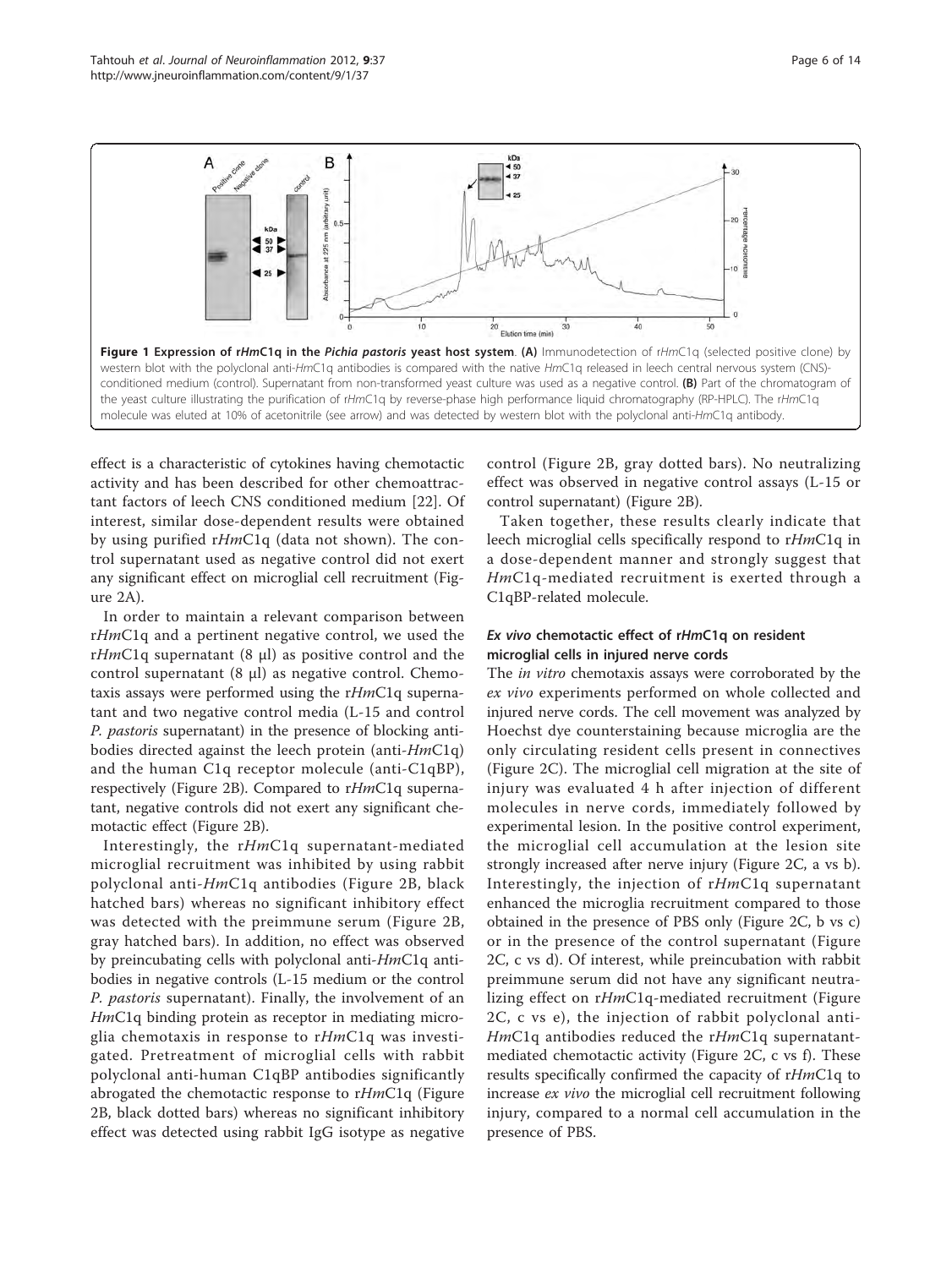<span id="page-5-0"></span>

effect is a characteristic of cytokines having chemotactic activity and has been described for other chemoattractant factors of leech CNS conditioned medium [[22](#page-13-0)]. Of interest, similar dose-dependent results were obtained by using purified rHmC1q (data not shown). The control supernatant used as negative control did not exert any significant effect on microglial cell recruitment (Figure [2A](#page-6-0)).

In order to maintain a relevant comparison between rHmC1q and a pertinent negative control, we used the rHmC1q supernatant (8  $\mu$ l) as positive control and the control supernatant  $(8 \mu l)$  as negative control. Chemotaxis assays were performed using the rHmC1q supernatant and two negative control media (L-15 and control P. pastoris supernatant) in the presence of blocking antibodies directed against the leech protein (anti- $HmClq$ ) and the human C1q receptor molecule (anti-C1qBP), respectively (Figure [2B](#page-6-0)). Compared to rHmC1q supernatant, negative controls did not exert any significant chemotactic effect (Figure [2B](#page-6-0)).

Interestingly, the rHmC1q supernatant-mediated microglial recruitment was inhibited by using rabbit polyclonal anti-HmC1q antibodies (Figure [2B](#page-6-0), black hatched bars) whereas no significant inhibitory effect was detected with the preimmune serum (Figure [2B](#page-6-0), gray hatched bars). In addition, no effect was observed by preincubating cells with polyclonal anti-HmC1q antibodies in negative controls (L-15 medium or the control P. pastoris supernatant). Finally, the involvement of an HmC1q binding protein as receptor in mediating microglia chemotaxis in response to  $rHmClq$  was investigated. Pretreatment of microglial cells with rabbit polyclonal anti-human C1qBP antibodies significantly abrogated the chemotactic response to rHmC1q (Figure [2B,](#page-6-0) black dotted bars) whereas no significant inhibitory effect was detected using rabbit IgG isotype as negative control (Figure [2B,](#page-6-0) gray dotted bars). No neutralizing effect was observed in negative control assays (L-15 or control supernatant) (Figure [2B](#page-6-0)).

Taken together, these results clearly indicate that leech microglial cells specifically respond to rHmC1q in a dose-dependent manner and strongly suggest that HmC1q-mediated recruitment is exerted through a C1qBP-related molecule.

# Ex vivo chemotactic effect of rHmC1q on resident microglial cells in injured nerve cords

The *in vitro* chemotaxis assays were corroborated by the ex vivo experiments performed on whole collected and injured nerve cords. The cell movement was analyzed by Hoechst dye counterstaining because microglia are the only circulating resident cells present in connectives (Figure [2C](#page-6-0)). The microglial cell migration at the site of injury was evaluated 4 h after injection of different molecules in nerve cords, immediately followed by experimental lesion. In the positive control experiment, the microglial cell accumulation at the lesion site strongly increased after nerve injury (Figure [2C,](#page-6-0) a vs b). Interestingly, the injection of rHmC1q supernatant enhanced the microglia recruitment compared to those obtained in the presence of PBS only (Figure [2C,](#page-6-0) b vs c) or in the presence of the control supernatant (Figure [2C](#page-6-0), c vs d). Of interest, while preincubation with rabbit preimmune serum did not have any significant neutralizing effect on rHmC1q-mediated recruitment (Figure [2C](#page-6-0), c vs e), the injection of rabbit polyclonal anti- $HmClq$  antibodies reduced the r $HmClq$  supernatantmediated chemotactic activity (Figure [2C](#page-6-0), c vs f). These results specifically confirmed the capacity of rHmC1q to increase ex vivo the microglial cell recruitment following injury, compared to a normal cell accumulation in the presence of PBS.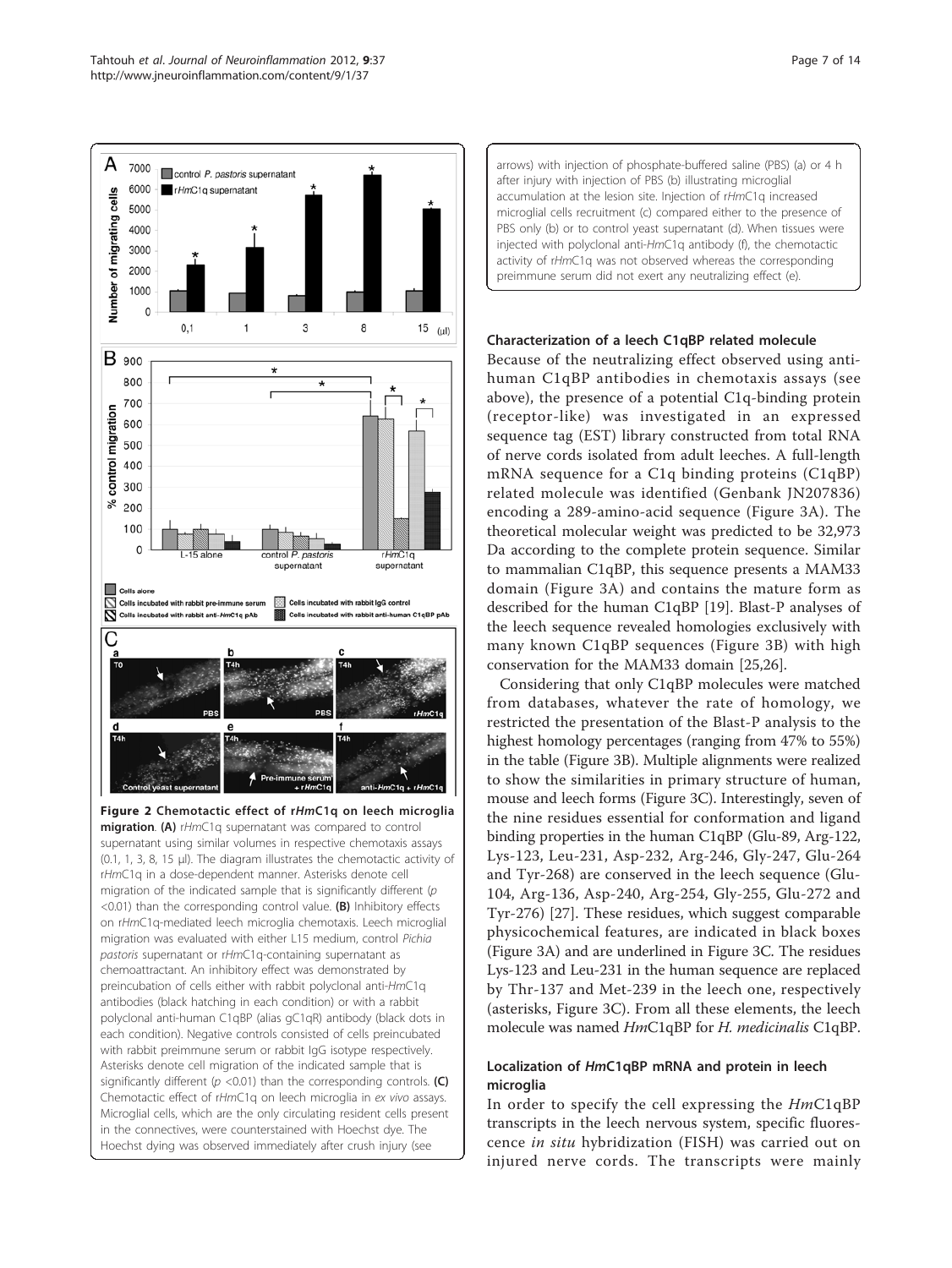<span id="page-6-0"></span>

Figure 2 Chemotactic effect of rHmC1q on leech microglia migration. (A) rHmC1q supernatant was compared to control supernatant using similar volumes in respective chemotaxis assays (0.1, 1, 3, 8, 15 μl). The diagram illustrates the chemotactic activity of rHmC1q in a dose-dependent manner. Asterisks denote cell migration of the indicated sample that is significantly different ( $p$ <0.01) than the corresponding control value. (B) Inhibitory effects on rHmC1q-mediated leech microglia chemotaxis. Leech microglial migration was evaluated with either L15 medium, control Pichia pastoris supernatant or rHmC1q-containing supernatant as chemoattractant. An inhibitory effect was demonstrated by preincubation of cells either with rabbit polyclonal anti-HmC1q antibodies (black hatching in each condition) or with a rabbit polyclonal anti-human C1qBP (alias gC1qR) antibody (black dots in each condition). Negative controls consisted of cells preincubated with rabbit preimmune serum or rabbit IgG isotype respectively. Asterisks denote cell migration of the indicated sample that is significantly different ( $p$  <0.01) than the corresponding controls. (C) Chemotactic effect of rHmC1q on leech microglia in ex vivo assays. Microglial cells, which are the only circulating resident cells present in the connectives, were counterstained with Hoechst dye. The Hoechst dying was observed immediately after crush injury (see

arrows) with injection of phosphate-buffered saline (PBS) (a) or 4 h after injury with injection of PBS (b) illustrating microglial accumulation at the lesion site. Injection of rHmC1q increased microglial cells recruitment (c) compared either to the presence of PBS only (b) or to control yeast supernatant (d). When tissues were injected with polyclonal anti-HmC1q antibody (f), the chemotactic activity of rHmC1q was not observed whereas the corresponding preimmune serum did not exert any neutralizing effect (e).

## Characterization of a leech C1qBP related molecule

Because of the neutralizing effect observed using antihuman C1qBP antibodies in chemotaxis assays (see above), the presence of a potential C1q-binding protein (receptor-like) was investigated in an expressed sequence tag (EST) library constructed from total RNA of nerve cords isolated from adult leeches. A full-length mRNA sequence for a C1q binding proteins (C1qBP) related molecule was identified (Genbank [JN207836](http://www.ncbi.nih.gov/entrez/query.fcgi?db=Nucleotide&cmd=search&term=JN207836)) encoding a 289-amino-acid sequence (Figure [3A\)](#page-7-0). The theoretical molecular weight was predicted to be 32,973 Da according to the complete protein sequence. Similar to mammalian C1qBP, this sequence presents a MAM33 domain (Figure [3A\)](#page-7-0) and contains the mature form as described for the human C1qBP [[19\]](#page-13-0). Blast-P analyses of the leech sequence revealed homologies exclusively with many known C1qBP sequences (Figure [3B](#page-7-0)) with high conservation for the MAM33 domain [[25](#page-13-0),[26](#page-13-0)].

Considering that only C1qBP molecules were matched from databases, whatever the rate of homology, we restricted the presentation of the Blast-P analysis to the highest homology percentages (ranging from 47% to 55%) in the table (Figure [3B](#page-7-0)). Multiple alignments were realized to show the similarities in primary structure of human, mouse and leech forms (Figure [3C](#page-7-0)). Interestingly, seven of the nine residues essential for conformation and ligand binding properties in the human C1qBP (Glu-89, Arg-122, Lys-123, Leu-231, Asp-232, Arg-246, Gly-247, Glu-264 and Tyr-268) are conserved in the leech sequence (Glu-104, Arg-136, Asp-240, Arg-254, Gly-255, Glu-272 and Tyr-276) [[27\]](#page-13-0). These residues, which suggest comparable physicochemical features, are indicated in black boxes (Figure [3A\)](#page-7-0) and are underlined in Figure [3C](#page-7-0). The residues Lys-123 and Leu-231 in the human sequence are replaced by Thr-137 and Met-239 in the leech one, respectively (asterisks, Figure [3C\)](#page-7-0). From all these elements, the leech molecule was named HmC1qBP for H. medicinalis C1qBP.

# Localization of HmC1qBP mRNA and protein in leech microglia

In order to specify the cell expressing the HmC1qBP transcripts in the leech nervous system, specific fluorescence in situ hybridization (FISH) was carried out on injured nerve cords. The transcripts were mainly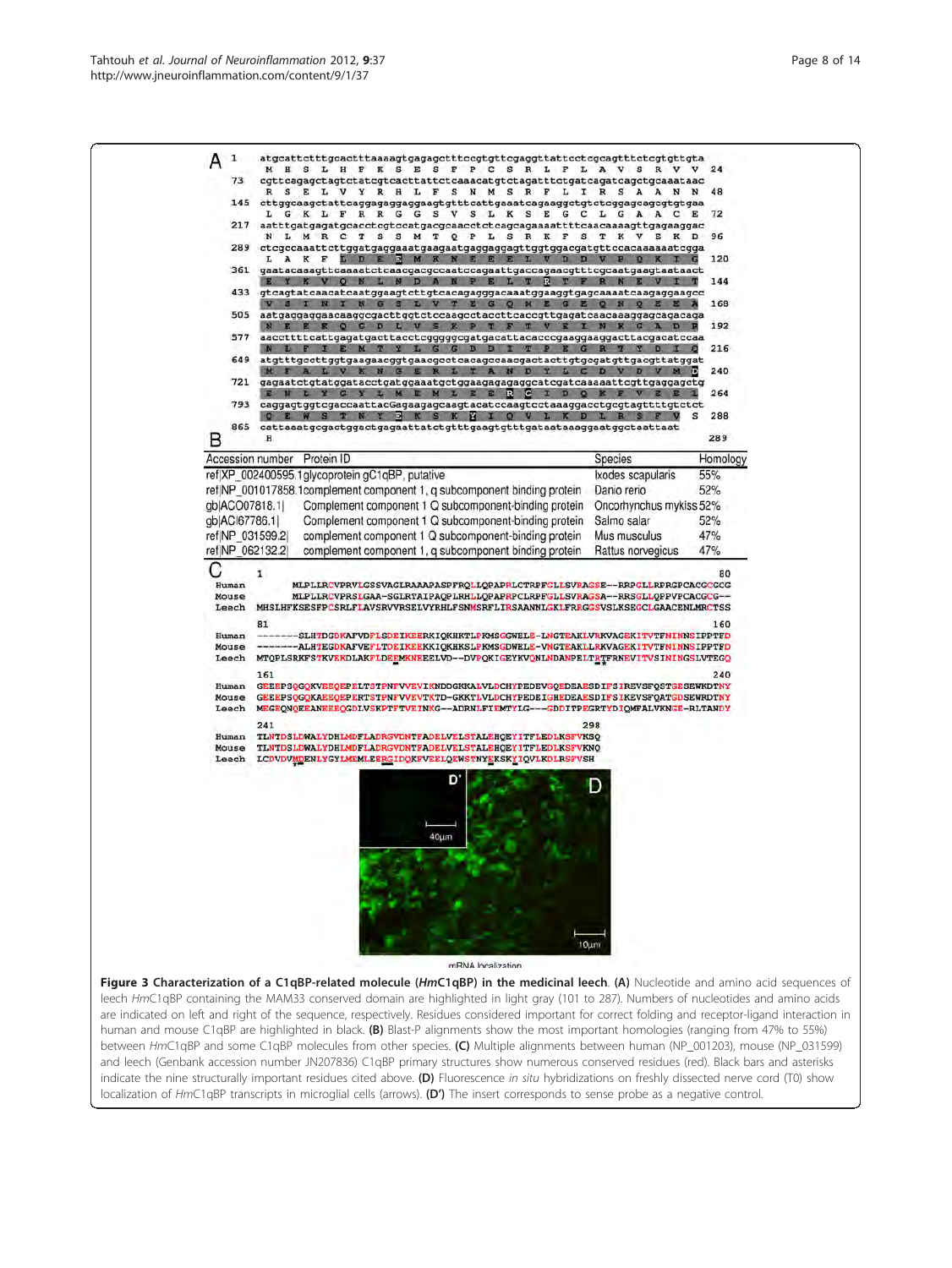<span id="page-7-0"></span>

| 73                   | H S L H F K S E S F P C S R L F L A V S R V V<br>cgttcagagctagtctatcgtcacttattctcaaacatgtctagatttctgatcagatcagctgcaaataac<br>S E L V Y R H L F S N M S R F L I R S A A<br>145 cttggcaagctattcaggagaggaaggtgtttcattgaaatcagaaggctgtctcggagcagcgtgtgaa<br>L G K L F R R G G S V S L K S E G C L G A A C E<br>217 aatttgatgagatgcacctcgtccatgacgcaacctctcagcagaaaattttcaacaaaagttgagaaggac<br>N L M R C T S S M T Q P L S R K F S T K V E K D<br>289 ctcgccaaattcttggatgaggaaatgaagaatgaggaggagttggtggacgatgttccacaaaaaatcgga<br>LAKF LDE<br>12 <sup>1</sup><br>M<br>ш<br>361 gaatacaaagttcaaaatctcaacgacgccaatccagaattgaccagaacgtttcgcaatgaagtaataact<br>KVQN<br>N D A<br>B<br><b>L</b><br>R<br>433 gtcagtatcaacatcaatggaagtcttgtcacagagggacaaatggaaggtgagcaaaatcaagaggaagcc<br>S I N I N G S L V T E G Q M E G E Q N<br>D<br>L G G D D<br>$E$ $G$<br>649 atgtttgecttggtgaagaacggtgaacgcctcacagccaacgactacttgtgcgatgttgacgttatggat<br>ALVKNGERLTANDYLCDVDV | Q E E A                                                                                                                                                                                                                                                                                                                                                                                                              | 24<br>48<br>72<br>96<br>120<br>144<br>168<br>192                                                                                                                                                                                                                                                                                                                                                                                                                                                                                                                                                                                                                                                                                                                                                                                                                                                                                                                                                                                                                                                                                                                                             |
|----------------------|----------------------------------------------------------------------------------------------------------------------------------------------------------------------------------------------------------------------------------------------------------------------------------------------------------------------------------------------------------------------------------------------------------------------------------------------------------------------------------------------------------------------------------------------------------------------------------------------------------------------------------------------------------------------------------------------------------------------------------------------------------------------------------------------------------------------------------------------------------------------------------------------------------------------------------------------------------|----------------------------------------------------------------------------------------------------------------------------------------------------------------------------------------------------------------------------------------------------------------------------------------------------------------------------------------------------------------------------------------------------------------------|----------------------------------------------------------------------------------------------------------------------------------------------------------------------------------------------------------------------------------------------------------------------------------------------------------------------------------------------------------------------------------------------------------------------------------------------------------------------------------------------------------------------------------------------------------------------------------------------------------------------------------------------------------------------------------------------------------------------------------------------------------------------------------------------------------------------------------------------------------------------------------------------------------------------------------------------------------------------------------------------------------------------------------------------------------------------------------------------------------------------------------------------------------------------------------------------|
|                      |                                                                                                                                                                                                                                                                                                                                                                                                                                                                                                                                                                                                                                                                                                                                                                                                                                                                                                                                                          |                                                                                                                                                                                                                                                                                                                                                                                                                      |                                                                                                                                                                                                                                                                                                                                                                                                                                                                                                                                                                                                                                                                                                                                                                                                                                                                                                                                                                                                                                                                                                                                                                                              |
|                      |                                                                                                                                                                                                                                                                                                                                                                                                                                                                                                                                                                                                                                                                                                                                                                                                                                                                                                                                                          |                                                                                                                                                                                                                                                                                                                                                                                                                      |                                                                                                                                                                                                                                                                                                                                                                                                                                                                                                                                                                                                                                                                                                                                                                                                                                                                                                                                                                                                                                                                                                                                                                                              |
|                      |                                                                                                                                                                                                                                                                                                                                                                                                                                                                                                                                                                                                                                                                                                                                                                                                                                                                                                                                                          |                                                                                                                                                                                                                                                                                                                                                                                                                      |                                                                                                                                                                                                                                                                                                                                                                                                                                                                                                                                                                                                                                                                                                                                                                                                                                                                                                                                                                                                                                                                                                                                                                                              |
|                      |                                                                                                                                                                                                                                                                                                                                                                                                                                                                                                                                                                                                                                                                                                                                                                                                                                                                                                                                                          |                                                                                                                                                                                                                                                                                                                                                                                                                      |                                                                                                                                                                                                                                                                                                                                                                                                                                                                                                                                                                                                                                                                                                                                                                                                                                                                                                                                                                                                                                                                                                                                                                                              |
|                      |                                                                                                                                                                                                                                                                                                                                                                                                                                                                                                                                                                                                                                                                                                                                                                                                                                                                                                                                                          |                                                                                                                                                                                                                                                                                                                                                                                                                      |                                                                                                                                                                                                                                                                                                                                                                                                                                                                                                                                                                                                                                                                                                                                                                                                                                                                                                                                                                                                                                                                                                                                                                                              |
|                      |                                                                                                                                                                                                                                                                                                                                                                                                                                                                                                                                                                                                                                                                                                                                                                                                                                                                                                                                                          |                                                                                                                                                                                                                                                                                                                                                                                                                      |                                                                                                                                                                                                                                                                                                                                                                                                                                                                                                                                                                                                                                                                                                                                                                                                                                                                                                                                                                                                                                                                                                                                                                                              |
|                      |                                                                                                                                                                                                                                                                                                                                                                                                                                                                                                                                                                                                                                                                                                                                                                                                                                                                                                                                                          |                                                                                                                                                                                                                                                                                                                                                                                                                      |                                                                                                                                                                                                                                                                                                                                                                                                                                                                                                                                                                                                                                                                                                                                                                                                                                                                                                                                                                                                                                                                                                                                                                                              |
|                      |                                                                                                                                                                                                                                                                                                                                                                                                                                                                                                                                                                                                                                                                                                                                                                                                                                                                                                                                                          |                                                                                                                                                                                                                                                                                                                                                                                                                      |                                                                                                                                                                                                                                                                                                                                                                                                                                                                                                                                                                                                                                                                                                                                                                                                                                                                                                                                                                                                                                                                                                                                                                                              |
|                      |                                                                                                                                                                                                                                                                                                                                                                                                                                                                                                                                                                                                                                                                                                                                                                                                                                                                                                                                                          |                                                                                                                                                                                                                                                                                                                                                                                                                      |                                                                                                                                                                                                                                                                                                                                                                                                                                                                                                                                                                                                                                                                                                                                                                                                                                                                                                                                                                                                                                                                                                                                                                                              |
|                      |                                                                                                                                                                                                                                                                                                                                                                                                                                                                                                                                                                                                                                                                                                                                                                                                                                                                                                                                                          |                                                                                                                                                                                                                                                                                                                                                                                                                      |                                                                                                                                                                                                                                                                                                                                                                                                                                                                                                                                                                                                                                                                                                                                                                                                                                                                                                                                                                                                                                                                                                                                                                                              |
|                      |                                                                                                                                                                                                                                                                                                                                                                                                                                                                                                                                                                                                                                                                                                                                                                                                                                                                                                                                                          |                                                                                                                                                                                                                                                                                                                                                                                                                      | 216<br>o                                                                                                                                                                                                                                                                                                                                                                                                                                                                                                                                                                                                                                                                                                                                                                                                                                                                                                                                                                                                                                                                                                                                                                                     |
|                      |                                                                                                                                                                                                                                                                                                                                                                                                                                                                                                                                                                                                                                                                                                                                                                                                                                                                                                                                                          |                                                                                                                                                                                                                                                                                                                                                                                                                      | 240                                                                                                                                                                                                                                                                                                                                                                                                                                                                                                                                                                                                                                                                                                                                                                                                                                                                                                                                                                                                                                                                                                                                                                                          |
|                      |                                                                                                                                                                                                                                                                                                                                                                                                                                                                                                                                                                                                                                                                                                                                                                                                                                                                                                                                                          | M <sub>D</sub>                                                                                                                                                                                                                                                                                                                                                                                                       |                                                                                                                                                                                                                                                                                                                                                                                                                                                                                                                                                                                                                                                                                                                                                                                                                                                                                                                                                                                                                                                                                                                                                                                              |
|                      | L<br>R<br>e<br><b>E</b><br>œ                                                                                                                                                                                                                                                                                                                                                                                                                                                                                                                                                                                                                                                                                                                                                                                                                                                                                                                             |                                                                                                                                                                                                                                                                                                                                                                                                                      | 264                                                                                                                                                                                                                                                                                                                                                                                                                                                                                                                                                                                                                                                                                                                                                                                                                                                                                                                                                                                                                                                                                                                                                                                          |
|                      | 793 caggagtggtcgaccaattacGagaagagcaagtacatccaagtcctaaaggacctgcgtagttttgtctct<br>E W S T N Y B K S K H I Q V L K D L R S                                                                                                                                                                                                                                                                                                                                                                                                                                                                                                                                                                                                                                                                                                                                                                                                                                  |                                                                                                                                                                                                                                                                                                                                                                                                                      | s<br>288                                                                                                                                                                                                                                                                                                                                                                                                                                                                                                                                                                                                                                                                                                                                                                                                                                                                                                                                                                                                                                                                                                                                                                                     |
|                      |                                                                                                                                                                                                                                                                                                                                                                                                                                                                                                                                                                                                                                                                                                                                                                                                                                                                                                                                                          |                                                                                                                                                                                                                                                                                                                                                                                                                      |                                                                                                                                                                                                                                                                                                                                                                                                                                                                                                                                                                                                                                                                                                                                                                                                                                                                                                                                                                                                                                                                                                                                                                                              |
| н                    |                                                                                                                                                                                                                                                                                                                                                                                                                                                                                                                                                                                                                                                                                                                                                                                                                                                                                                                                                          |                                                                                                                                                                                                                                                                                                                                                                                                                      | 289                                                                                                                                                                                                                                                                                                                                                                                                                                                                                                                                                                                                                                                                                                                                                                                                                                                                                                                                                                                                                                                                                                                                                                                          |
|                      |                                                                                                                                                                                                                                                                                                                                                                                                                                                                                                                                                                                                                                                                                                                                                                                                                                                                                                                                                          | Species                                                                                                                                                                                                                                                                                                                                                                                                              | Homology                                                                                                                                                                                                                                                                                                                                                                                                                                                                                                                                                                                                                                                                                                                                                                                                                                                                                                                                                                                                                                                                                                                                                                                     |
|                      |                                                                                                                                                                                                                                                                                                                                                                                                                                                                                                                                                                                                                                                                                                                                                                                                                                                                                                                                                          | Ixodes scapularis                                                                                                                                                                                                                                                                                                                                                                                                    | 55%                                                                                                                                                                                                                                                                                                                                                                                                                                                                                                                                                                                                                                                                                                                                                                                                                                                                                                                                                                                                                                                                                                                                                                                          |
|                      |                                                                                                                                                                                                                                                                                                                                                                                                                                                                                                                                                                                                                                                                                                                                                                                                                                                                                                                                                          | Danio rerio                                                                                                                                                                                                                                                                                                                                                                                                          | 52%                                                                                                                                                                                                                                                                                                                                                                                                                                                                                                                                                                                                                                                                                                                                                                                                                                                                                                                                                                                                                                                                                                                                                                                          |
|                      |                                                                                                                                                                                                                                                                                                                                                                                                                                                                                                                                                                                                                                                                                                                                                                                                                                                                                                                                                          |                                                                                                                                                                                                                                                                                                                                                                                                                      |                                                                                                                                                                                                                                                                                                                                                                                                                                                                                                                                                                                                                                                                                                                                                                                                                                                                                                                                                                                                                                                                                                                                                                                              |
|                      |                                                                                                                                                                                                                                                                                                                                                                                                                                                                                                                                                                                                                                                                                                                                                                                                                                                                                                                                                          |                                                                                                                                                                                                                                                                                                                                                                                                                      | 52%                                                                                                                                                                                                                                                                                                                                                                                                                                                                                                                                                                                                                                                                                                                                                                                                                                                                                                                                                                                                                                                                                                                                                                                          |
|                      |                                                                                                                                                                                                                                                                                                                                                                                                                                                                                                                                                                                                                                                                                                                                                                                                                                                                                                                                                          |                                                                                                                                                                                                                                                                                                                                                                                                                      | 47%                                                                                                                                                                                                                                                                                                                                                                                                                                                                                                                                                                                                                                                                                                                                                                                                                                                                                                                                                                                                                                                                                                                                                                                          |
|                      |                                                                                                                                                                                                                                                                                                                                                                                                                                                                                                                                                                                                                                                                                                                                                                                                                                                                                                                                                          |                                                                                                                                                                                                                                                                                                                                                                                                                      | 47%                                                                                                                                                                                                                                                                                                                                                                                                                                                                                                                                                                                                                                                                                                                                                                                                                                                                                                                                                                                                                                                                                                                                                                                          |
| Leech<br>81<br>Human |                                                                                                                                                                                                                                                                                                                                                                                                                                                                                                                                                                                                                                                                                                                                                                                                                                                                                                                                                          |                                                                                                                                                                                                                                                                                                                                                                                                                      | 160                                                                                                                                                                                                                                                                                                                                                                                                                                                                                                                                                                                                                                                                                                                                                                                                                                                                                                                                                                                                                                                                                                                                                                                          |
| Mouse<br>Leech       |                                                                                                                                                                                                                                                                                                                                                                                                                                                                                                                                                                                                                                                                                                                                                                                                                                                                                                                                                          |                                                                                                                                                                                                                                                                                                                                                                                                                      |                                                                                                                                                                                                                                                                                                                                                                                                                                                                                                                                                                                                                                                                                                                                                                                                                                                                                                                                                                                                                                                                                                                                                                                              |
| 161                  |                                                                                                                                                                                                                                                                                                                                                                                                                                                                                                                                                                                                                                                                                                                                                                                                                                                                                                                                                          |                                                                                                                                                                                                                                                                                                                                                                                                                      | 240                                                                                                                                                                                                                                                                                                                                                                                                                                                                                                                                                                                                                                                                                                                                                                                                                                                                                                                                                                                                                                                                                                                                                                                          |
| Mouse                |                                                                                                                                                                                                                                                                                                                                                                                                                                                                                                                                                                                                                                                                                                                                                                                                                                                                                                                                                          |                                                                                                                                                                                                                                                                                                                                                                                                                      |                                                                                                                                                                                                                                                                                                                                                                                                                                                                                                                                                                                                                                                                                                                                                                                                                                                                                                                                                                                                                                                                                                                                                                                              |
| Leech                |                                                                                                                                                                                                                                                                                                                                                                                                                                                                                                                                                                                                                                                                                                                                                                                                                                                                                                                                                          |                                                                                                                                                                                                                                                                                                                                                                                                                      |                                                                                                                                                                                                                                                                                                                                                                                                                                                                                                                                                                                                                                                                                                                                                                                                                                                                                                                                                                                                                                                                                                                                                                                              |
| 241                  |                                                                                                                                                                                                                                                                                                                                                                                                                                                                                                                                                                                                                                                                                                                                                                                                                                                                                                                                                          |                                                                                                                                                                                                                                                                                                                                                                                                                      |                                                                                                                                                                                                                                                                                                                                                                                                                                                                                                                                                                                                                                                                                                                                                                                                                                                                                                                                                                                                                                                                                                                                                                                              |
| Human                |                                                                                                                                                                                                                                                                                                                                                                                                                                                                                                                                                                                                                                                                                                                                                                                                                                                                                                                                                          |                                                                                                                                                                                                                                                                                                                                                                                                                      |                                                                                                                                                                                                                                                                                                                                                                                                                                                                                                                                                                                                                                                                                                                                                                                                                                                                                                                                                                                                                                                                                                                                                                                              |
| Leech                |                                                                                                                                                                                                                                                                                                                                                                                                                                                                                                                                                                                                                                                                                                                                                                                                                                                                                                                                                          |                                                                                                                                                                                                                                                                                                                                                                                                                      |                                                                                                                                                                                                                                                                                                                                                                                                                                                                                                                                                                                                                                                                                                                                                                                                                                                                                                                                                                                                                                                                                                                                                                                              |
|                      | D<br>40um                                                                                                                                                                                                                                                                                                                                                                                                                                                                                                                                                                                                                                                                                                                                                                                                                                                                                                                                                |                                                                                                                                                                                                                                                                                                                                                                                                                      |                                                                                                                                                                                                                                                                                                                                                                                                                                                                                                                                                                                                                                                                                                                                                                                                                                                                                                                                                                                                                                                                                                                                                                                              |
|                      |                                                                                                                                                                                                                                                                                                                                                                                                                                                                                                                                                                                                                                                                                                                                                                                                                                                                                                                                                          |                                                                                                                                                                                                                                                                                                                                                                                                                      |                                                                                                                                                                                                                                                                                                                                                                                                                                                                                                                                                                                                                                                                                                                                                                                                                                                                                                                                                                                                                                                                                                                                                                                              |
|                      | qb ACO07818.1 <br>qb ACI67786.1 <br>ref NP 031599.2<br>ref(NP 062132.2)<br>1<br>Human<br>Mouse<br>Human<br>Mouse                                                                                                                                                                                                                                                                                                                                                                                                                                                                                                                                                                                                                                                                                                                                                                                                                                         | Accession number Protein ID<br>ref(XP 002400595.1glycoprotein gC1qBP, putative<br>ref NP_001017858.1complement component 1, q subcomponent binding protein<br>Complement component 1 Q subcomponent-binding protein<br>Complement component 1 Q subcomponent-binding protein<br>complement component 1 Q subcomponent-binding protein<br>complement component 1, a subcomponent binding protein<br>mRNA localization | Oncorhynchus mykiss 52%<br>Salmo salar<br>Mus musculus<br>Rattus norvegicus<br>MLPLLRCVPRVLGSSVAGLRAAAPASPFRQLLQPAPRLCTRPFGLLSVRAGSE--RRPGLLRPRGPCACGCGCG<br>MLPLLRCVPRSLGAA-SGLRTAIPAQPLRHLLQPAPRPCLRPFGLLSVRAGSA--RRSGLLQPPVPCACGCG--<br>MHSLHFKSESFPCSRLFLAVSRVVRSELVYRHLFSNMSRFLIRSAANNLGKLFRRGGSVSLKSEGCLGAACENLMRCTSS<br>-------SLHTDGDKAFVDFLSDEIKEERKIQKHKTLPKMSGGWELE-LNGTEAKLVRKVAGEKITVTFNINNSIPPTFD<br>--ALHTEGDKAFVEFLTDEIKEEKKIQKHKSLPKMSGDWELE-VNGTEAKLLRKVAGEKITVTFNINNSIPPTFD<br>MTQPLSRKFSTKVEKDLAKFLDEEMKNEEELVD--DVPQKIGEYKVQNLNDANPELTRTFRNEVITVSININGSLVTEGQ<br>GEEEPSQGQKVEEQEPELTSTPNFVVEVIKNDDGKKALVLDCHYPEDEVGQEDEAESDIFSIREVSFQSTGESEWKDTNY<br>GEEEPSQGQKAEEQEPERTSTPNFVVEVTKTD-GKKTLVLDCHYPEDEIGHEDEAESDIFSIKEVSFQATGDSEWRDTNY<br>MEGEONOEEANEEEOGDLVSKPTFTVEINKG--ADRNLFIEMTYLG---GDDITPEGRTYDIOMFALVKNGE-RLTANDY<br>298<br>TLNTDSLDWALYDHLMDFLADRGVDNTFADELVELSTALEHQEYITFLEDLKSFVKSQ<br>TLNTDSLDWALYDHLMDFLADRGVONTFADELVELSTALEHQEYITFLEDLKSFVKNQ<br>LCDVDVMDENLYGYLMEMLEERGIDQKFVEELQEWSTNYEKSKYIQVLKDLRSFVSH<br>10um<br>Figure 3 Characterization of a C1qBP-related molecule (HmC1qBP) in the medicinal leech. (A) Nucleotide and amino acid sequences or |

between HmC1qBP and some C1qBP molecules from other species. (C) Multiple alignments between human (NP\_001203), mouse (NP\_031599) and leech (Genbank accession number [JN207836\)](http://www.ncbi.nlm.nih.gov/pubmed/207836?dopt=Abstract) C1qBP primary structures show numerous conserved residues (red). Black bars and asterisks indicate the nine structurally important residues cited above. (D) Fluorescence in situ hybridizations on freshly dissected nerve cord (T0) show localization of HmC1qBP transcripts in microglial cells (arrows). (D') The insert corresponds to sense probe as a negative control.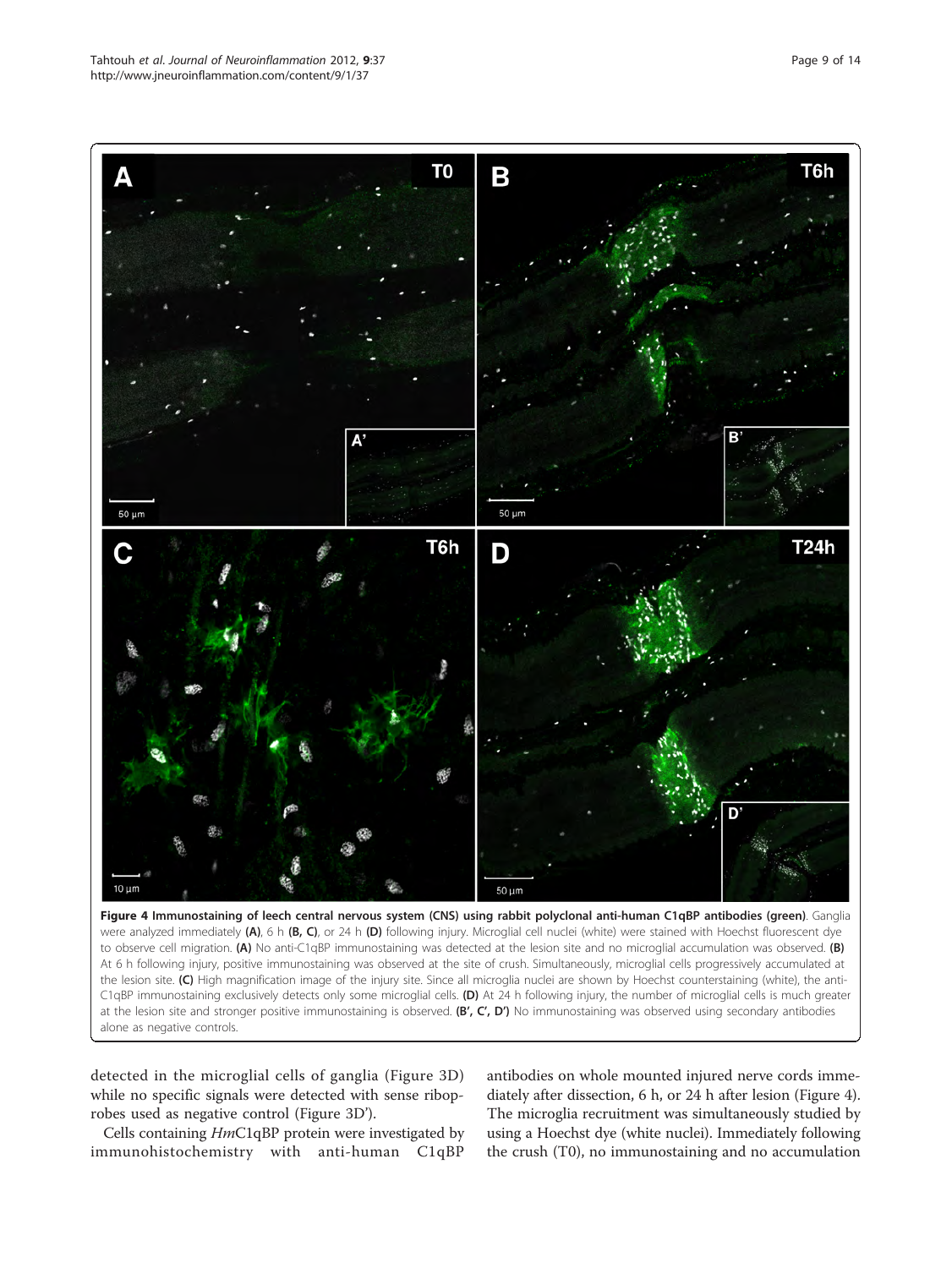<span id="page-8-0"></span>

were analyzed immediately (A), 6 h (B, C), or 24 h (D) following injury. Microglial cell nuclei (white) were stained with Hoechst fluorescent dye to observe cell migration. (A) No anti-C1qBP immunostaining was detected at the lesion site and no microglial accumulation was observed. (B) At 6 h following injury, positive immunostaining was observed at the site of crush. Simultaneously, microglial cells progressively accumulated at the lesion site. (C) High magnification image of the injury site. Since all microglia nuclei are shown by Hoechst counterstaining (white), the anti-C1qBP immunostaining exclusively detects only some microglial cells. (D) At 24 h following injury, the number of microglial cells is much greater at the lesion site and stronger positive immunostaining is observed. (B', C', D') No immunostaining was observed using secondary antibodies alone as negative controls.

detected in the microglial cells of ganglia (Figure [3D](#page-7-0)) while no specific signals were detected with sense riboprobes used as negative control (Figure [3D](#page-7-0)').

Cells containing HmC1qBP protein were investigated by immunohistochemistry with anti-human C1qBP

antibodies on whole mounted injured nerve cords immediately after dissection, 6 h, or 24 h after lesion (Figure 4). The microglia recruitment was simultaneously studied by using a Hoechst dye (white nuclei). Immediately following the crush (T0), no immunostaining and no accumulation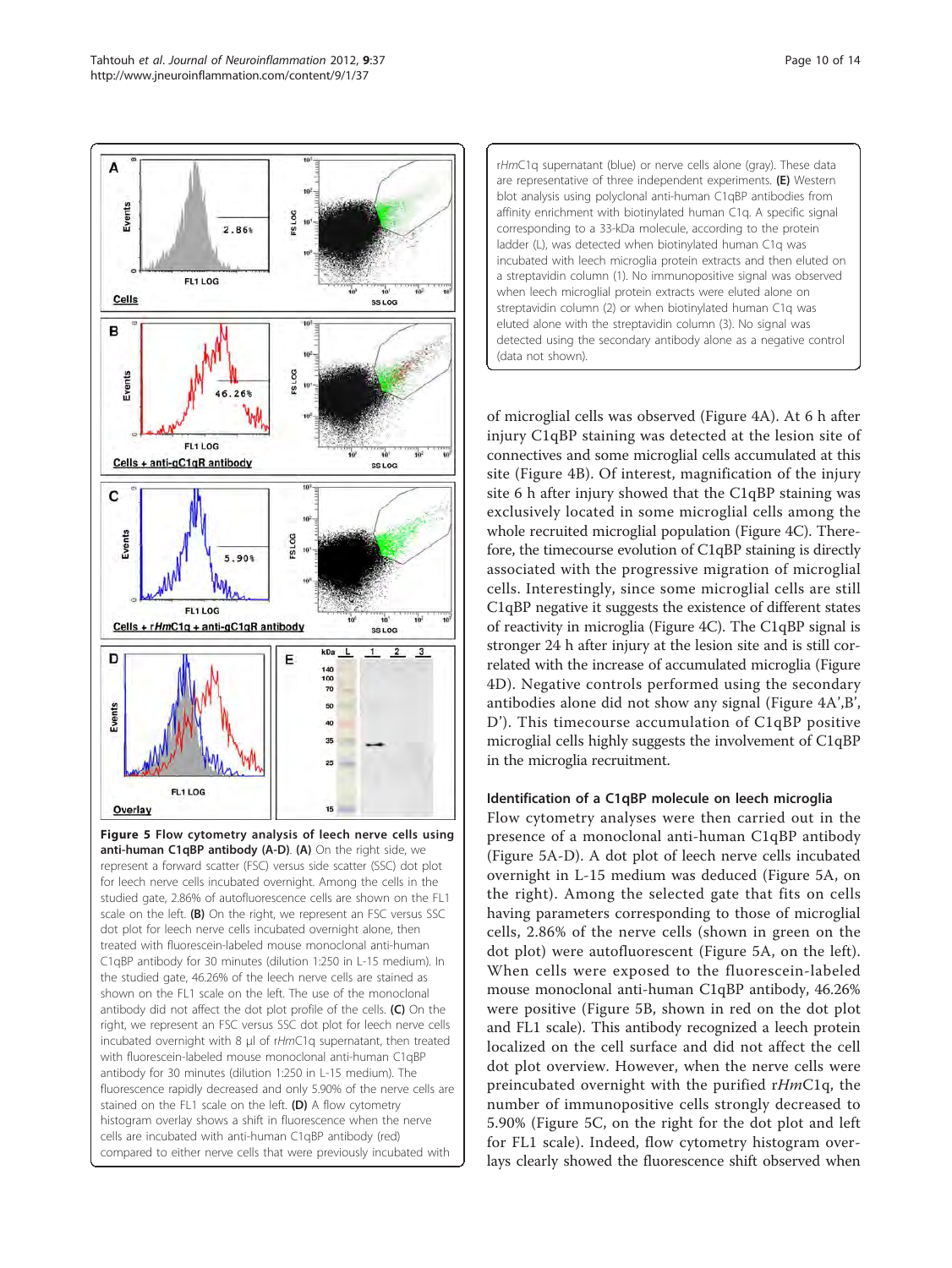

<span id="page-9-0"></span>

Figure 5 Flow cytometry analysis of leech nerve cells using anti-human C1qBP antibody (A-D). (A) On the right side, we represent a forward scatter (FSC) versus side scatter (SSC) dot plot for leech nerve cells incubated overnight. Among the cells in the studied gate, 2.86% of autofluorescence cells are shown on the FL1 scale on the left. (B) On the right, we represent an FSC versus SSC dot plot for leech nerve cells incubated overnight alone, then treated with fluorescein-labeled mouse monoclonal anti-human C1qBP antibody for 30 minutes (dilution 1:250 in L-15 medium). In the studied gate, 46.26% of the leech nerve cells are stained as shown on the FL1 scale on the left. The use of the monoclonal antibody did not affect the dot plot profile of the cells. (C) On the right, we represent an FSC versus SSC dot plot for leech nerve cells incubated overnight with 8 μl of rHmC1q supernatant, then treated with fluorescein-labeled mouse monoclonal anti-human C1qBP antibody for 30 minutes (dilution 1:250 in L-15 medium). The fluorescence rapidly decreased and only 5.90% of the nerve cells are stained on the FL1 scale on the left. (D) A flow cytometry histogram overlay shows a shift in fluorescence when the nerve cells are incubated with anti-human C1qBP antibody (red) compared to either nerve cells that were previously incubated with



of microglial cells was observed (Figure [4A](#page-8-0)). At 6 h after injury C1qBP staining was detected at the lesion site of connectives and some microglial cells accumulated at this site (Figure [4B](#page-8-0)). Of interest, magnification of the injury site 6 h after injury showed that the C1qBP staining was exclusively located in some microglial cells among the whole recruited microglial population (Figure [4C\)](#page-8-0). Therefore, the timecourse evolution of C1qBP staining is directly associated with the progressive migration of microglial cells. Interestingly, since some microglial cells are still C1qBP negative it suggests the existence of different states of reactivity in microglia (Figure [4C\)](#page-8-0). The C1qBP signal is stronger 24 h after injury at the lesion site and is still correlated with the increase of accumulated microglia (Figure [4D](#page-8-0)). Negative controls performed using the secondary antibodies alone did not show any signal (Figure [4A](#page-8-0)',B', [D](#page-8-0)'). This timecourse accumulation of C1qBP positive microglial cells highly suggests the involvement of C1qBP in the microglia recruitment.

# Identification of a C1qBP molecule on leech microglia

Flow cytometry analyses were then carried out in the presence of a monoclonal anti-human C1qBP antibody (Figure 5A-D). A dot plot of leech nerve cells incubated overnight in L-15 medium was deduced (Figure 5A, on the right). Among the selected gate that fits on cells having parameters corresponding to those of microglial cells, 2.86% of the nerve cells (shown in green on the dot plot) were autofluorescent (Figure 5A, on the left). When cells were exposed to the fluorescein-labeled mouse monoclonal anti-human C1qBP antibody, 46.26% were positive (Figure 5B, shown in red on the dot plot and FL1 scale). This antibody recognized a leech protein localized on the cell surface and did not affect the cell dot plot overview. However, when the nerve cells were preincubated overnight with the purified rHmC1q, the number of immunopositive cells strongly decreased to 5.90% (Figure 5C, on the right for the dot plot and left for FL1 scale). Indeed, flow cytometry histogram overlays clearly showed the fluorescence shift observed when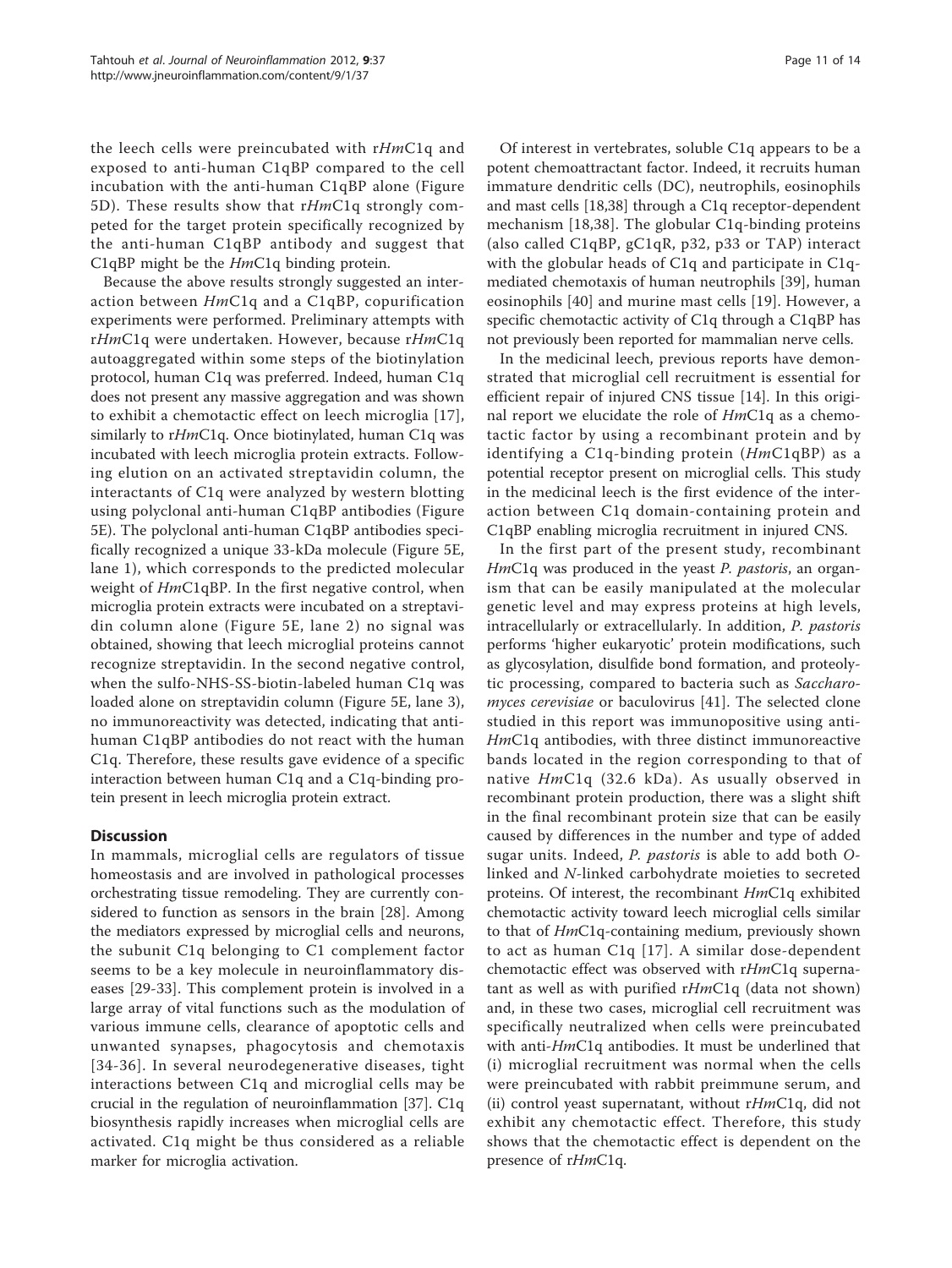the leech cells were preincubated with rHmC1q and exposed to anti-human C1qBP compared to the cell incubation with the anti-human C1qBP alone (Figure [5D](#page-9-0)). These results show that  $rHmClq$  strongly competed for the target protein specifically recognized by the anti-human C1qBP antibody and suggest that C1qBP might be the *Hm*C1q binding protein.

Because the above results strongly suggested an interaction between HmC1q and a C1qBP, copurification experiments were performed. Preliminary attempts with rHmC1q were undertaken. However, because rHmC1q autoaggregated within some steps of the biotinylation protocol, human C1q was preferred. Indeed, human C1q does not present any massive aggregation and was shown to exhibit a chemotactic effect on leech microglia [[17](#page-13-0)], similarly to rHmC1q. Once biotinylated, human C1q was incubated with leech microglia protein extracts. Following elution on an activated streptavidin column, the interactants of C1q were analyzed by western blotting using polyclonal anti-human C1qBP antibodies (Figure [5E](#page-9-0)). The polyclonal anti-human C1qBP antibodies specifically recognized a unique 33-kDa molecule (Figure [5E](#page-9-0), lane 1), which corresponds to the predicted molecular weight of  $HmC1qBP$ . In the first negative control, when microglia protein extracts were incubated on a streptavidin column alone (Figure [5E,](#page-9-0) lane 2) no signal was obtained, showing that leech microglial proteins cannot recognize streptavidin. In the second negative control, when the sulfo-NHS-SS-biotin-labeled human C1q was loaded alone on streptavidin column (Figure [5E](#page-9-0), lane 3), no immunoreactivity was detected, indicating that antihuman C1qBP antibodies do not react with the human C1q. Therefore, these results gave evidence of a specific interaction between human C1q and a C1q-binding protein present in leech microglia protein extract.

# **Discussion**

In mammals, microglial cells are regulators of tissue homeostasis and are involved in pathological processes orchestrating tissue remodeling. They are currently considered to function as sensors in the brain [\[28](#page-13-0)]. Among the mediators expressed by microglial cells and neurons, the subunit C1q belonging to C1 complement factor seems to be a key molecule in neuroinflammatory diseases [\[29](#page-13-0)-[33\]](#page-13-0). This complement protein is involved in a large array of vital functions such as the modulation of various immune cells, clearance of apoptotic cells and unwanted synapses, phagocytosis and chemotaxis [[34-36](#page-13-0)]. In several neurodegenerative diseases, tight interactions between C1q and microglial cells may be crucial in the regulation of neuroinflammation [\[37](#page-13-0)]. C1q biosynthesis rapidly increases when microglial cells are activated. C1q might be thus considered as a reliable marker for microglia activation.

Of interest in vertebrates, soluble C1q appears to be a potent chemoattractant factor. Indeed, it recruits human immature dendritic cells (DC), neutrophils, eosinophils and mast cells [\[18,38](#page-13-0)] through a C1q receptor-dependent mechanism [[18](#page-13-0),[38\]](#page-13-0). The globular C1q-binding proteins (also called C1qBP, gC1qR, p32, p33 or TAP) interact with the globular heads of C1q and participate in C1qmediated chemotaxis of human neutrophils [\[39](#page-13-0)], human eosinophils [\[40](#page-13-0)] and murine mast cells [\[19](#page-13-0)]. However, a specific chemotactic activity of C1q through a C1qBP has not previously been reported for mammalian nerve cells.

In the medicinal leech, previous reports have demonstrated that microglial cell recruitment is essential for efficient repair of injured CNS tissue [\[14](#page-12-0)]. In this original report we elucidate the role of HmC1q as a chemotactic factor by using a recombinant protein and by identifying a C1q-binding protein (HmC1qBP) as a potential receptor present on microglial cells. This study in the medicinal leech is the first evidence of the interaction between C1q domain-containing protein and C1qBP enabling microglia recruitment in injured CNS.

In the first part of the present study, recombinant HmC<sub>1</sub>q was produced in the yeast *P. pastoris*, an organism that can be easily manipulated at the molecular genetic level and may express proteins at high levels, intracellularly or extracellularly. In addition, P. pastoris performs 'higher eukaryotic' protein modifications, such as glycosylation, disulfide bond formation, and proteolytic processing, compared to bacteria such as Saccharomyces cerevisiae or baculovirus [\[41](#page-13-0)]. The selected clone studied in this report was immunopositive using anti-HmC1q antibodies, with three distinct immunoreactive bands located in the region corresponding to that of native HmC1q (32.6 kDa). As usually observed in recombinant protein production, there was a slight shift in the final recombinant protein size that can be easily caused by differences in the number and type of added sugar units. Indeed, P. pastoris is able to add both Olinked and N-linked carbohydrate moieties to secreted proteins. Of interest, the recombinant HmC1q exhibited chemotactic activity toward leech microglial cells similar to that of HmC1q-containing medium, previously shown to act as human C1q [[17](#page-13-0)]. A similar dose-dependent chemotactic effect was observed with rHmC1q supernatant as well as with purified  $rHmClq$  (data not shown) and, in these two cases, microglial cell recruitment was specifically neutralized when cells were preincubated with anti-*Hm*C1q antibodies. It must be underlined that (i) microglial recruitment was normal when the cells were preincubated with rabbit preimmune serum, and (ii) control yeast supernatant, without  $rHmClq$ , did not exhibit any chemotactic effect. Therefore, this study shows that the chemotactic effect is dependent on the presence of rHmC1q.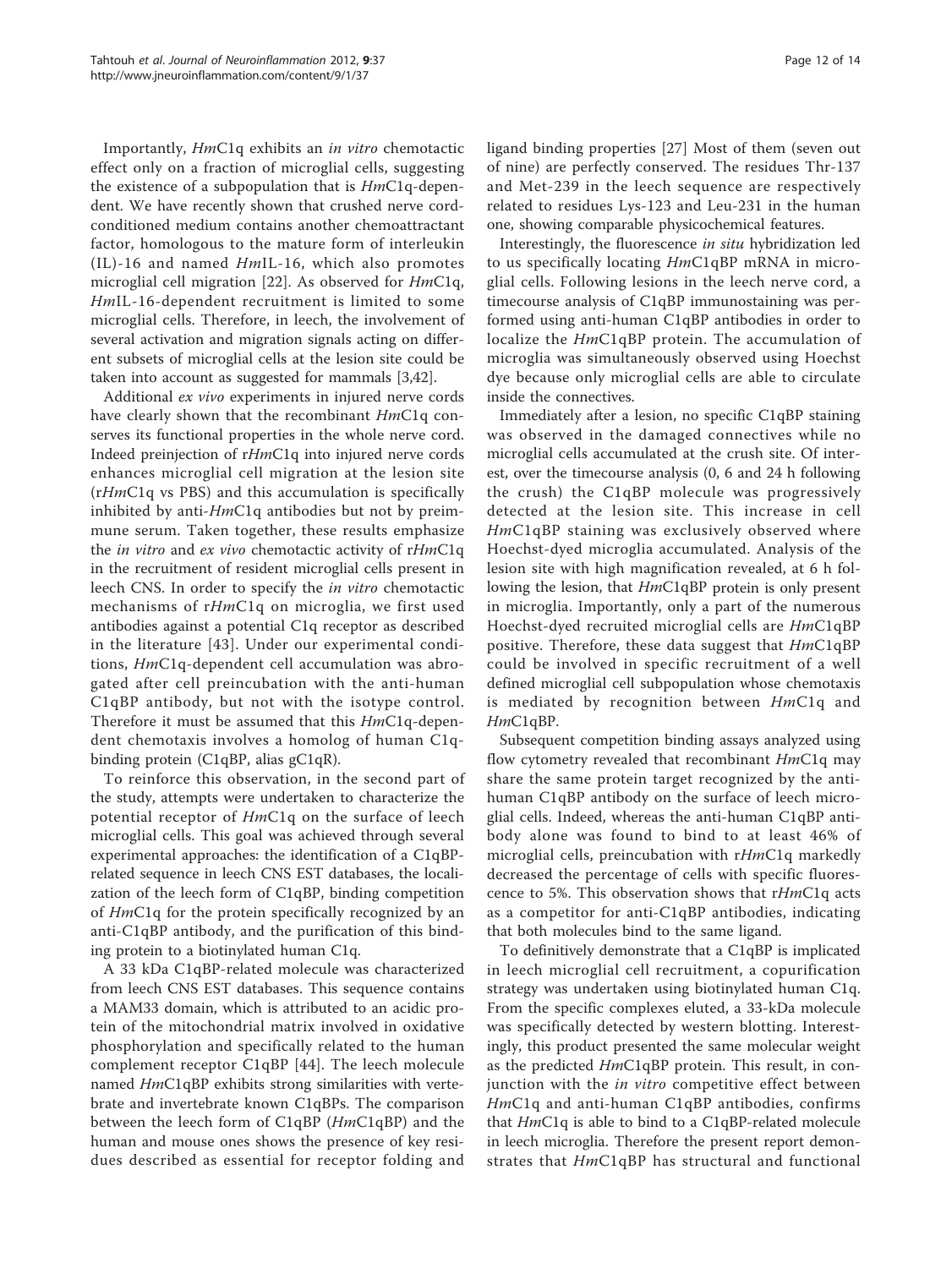Importantly, HmC1q exhibits an in vitro chemotactic effect only on a fraction of microglial cells, suggesting the existence of a subpopulation that is HmC1q-dependent. We have recently shown that crushed nerve cordconditioned medium contains another chemoattractant factor, homologous to the mature form of interleukin (IL)-16 and named HmIL-16, which also promotes microglial cell migration [[22](#page-13-0)]. As observed for HmC1q, HmIL-16-dependent recruitment is limited to some microglial cells. Therefore, in leech, the involvement of several activation and migration signals acting on different subsets of microglial cells at the lesion site could be taken into account as suggested for mammals [\[3](#page-12-0)[,42](#page-13-0)].

Additional ex vivo experiments in injured nerve cords have clearly shown that the recombinant HmC1q conserves its functional properties in the whole nerve cord. Indeed preinjection of rHmC1q into injured nerve cords enhances microglial cell migration at the lesion site (rHmC1q vs PBS) and this accumulation is specifically inhibited by anti- $HmC1q$  antibodies but not by preimmune serum. Taken together, these results emphasize the *in vitro* and *ex vivo* chemotactic activity of rHmC1q in the recruitment of resident microglial cells present in leech CNS. In order to specify the in vitro chemotactic mechanisms of rHmC1q on microglia, we first used antibodies against a potential C1q receptor as described in the literature [\[43\]](#page-13-0). Under our experimental conditions, HmC1q-dependent cell accumulation was abrogated after cell preincubation with the anti-human C1qBP antibody, but not with the isotype control. Therefore it must be assumed that this  $HmClq$ -dependent chemotaxis involves a homolog of human C1qbinding protein (C1qBP, alias gC1qR).

To reinforce this observation, in the second part of the study, attempts were undertaken to characterize the potential receptor of HmC1q on the surface of leech microglial cells. This goal was achieved through several experimental approaches: the identification of a C1qBPrelated sequence in leech CNS EST databases, the localization of the leech form of C1qBP, binding competition of HmC1q for the protein specifically recognized by an anti-C1qBP antibody, and the purification of this binding protein to a biotinylated human C1q.

A 33 kDa C1qBP-related molecule was characterized from leech CNS EST databases. This sequence contains a MAM33 domain, which is attributed to an acidic protein of the mitochondrial matrix involved in oxidative phosphorylation and specifically related to the human complement receptor C1qBP [[44\]](#page-13-0). The leech molecule named HmC1qBP exhibits strong similarities with vertebrate and invertebrate known C1qBPs. The comparison between the leech form of C1qBP (HmC1qBP) and the human and mouse ones shows the presence of key residues described as essential for receptor folding and ligand binding properties [\[27](#page-13-0)] Most of them (seven out of nine) are perfectly conserved. The residues Thr-137 and Met-239 in the leech sequence are respectively related to residues Lys-123 and Leu-231 in the human one, showing comparable physicochemical features.

Interestingly, the fluorescence in situ hybridization led to us specifically locating HmC1qBP mRNA in microglial cells. Following lesions in the leech nerve cord, a timecourse analysis of C1qBP immunostaining was performed using anti-human C1qBP antibodies in order to localize the HmC1qBP protein. The accumulation of microglia was simultaneously observed using Hoechst dye because only microglial cells are able to circulate inside the connectives.

Immediately after a lesion, no specific C1qBP staining was observed in the damaged connectives while no microglial cells accumulated at the crush site. Of interest, over the timecourse analysis (0, 6 and 24 h following the crush) the C1qBP molecule was progressively detected at the lesion site. This increase in cell HmC1qBP staining was exclusively observed where Hoechst-dyed microglia accumulated. Analysis of the lesion site with high magnification revealed, at 6 h following the lesion, that HmC1qBP protein is only present in microglia. Importantly, only a part of the numerous Hoechst-dyed recruited microglial cells are HmC1qBP positive. Therefore, these data suggest that HmC1qBP could be involved in specific recruitment of a well defined microglial cell subpopulation whose chemotaxis is mediated by recognition between HmC1q and HmC<sub>1q</sub>BP.

Subsequent competition binding assays analyzed using flow cytometry revealed that recombinant HmC1q may share the same protein target recognized by the antihuman C1qBP antibody on the surface of leech microglial cells. Indeed, whereas the anti-human C1qBP antibody alone was found to bind to at least 46% of microglial cells, preincubation with rHmC1q markedly decreased the percentage of cells with specific fluorescence to 5%. This observation shows that  $rHmClq$  acts as a competitor for anti-C1qBP antibodies, indicating that both molecules bind to the same ligand.

To definitively demonstrate that a C1qBP is implicated in leech microglial cell recruitment, a copurification strategy was undertaken using biotinylated human C1q. From the specific complexes eluted, a 33-kDa molecule was specifically detected by western blotting. Interestingly, this product presented the same molecular weight as the predicted HmC1qBP protein. This result, in conjunction with the *in vitro* competitive effect between HmC1q and anti-human C1qBP antibodies, confirms that  $HmClq$  is able to bind to a  $ClqBP$ -related molecule in leech microglia. Therefore the present report demonstrates that HmC1qBP has structural and functional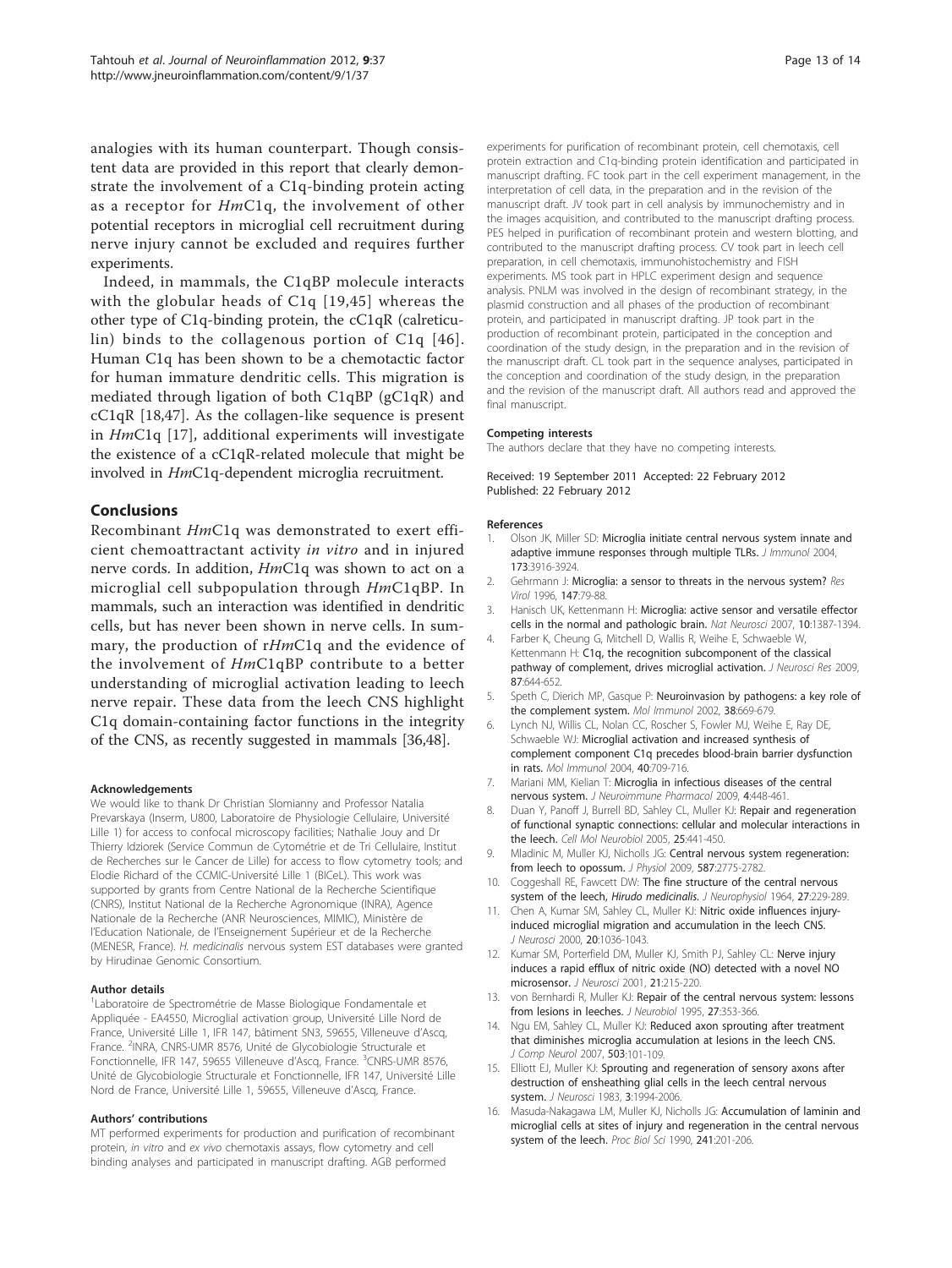<span id="page-12-0"></span>analogies with its human counterpart. Though consistent data are provided in this report that clearly demonstrate the involvement of a C1q-binding protein acting as a receptor for  $HmClq$ , the involvement of other potential receptors in microglial cell recruitment during nerve injury cannot be excluded and requires further experiments.

Indeed, in mammals, the C1qBP molecule interacts with the globular heads of C1q [[19,45\]](#page-13-0) whereas the other type of C1q-binding protein, the cC1qR (calreticulin) binds to the collagenous portion of C1q [[46\]](#page-13-0). Human C1q has been shown to be a chemotactic factor for human immature dendritic cells. This migration is mediated through ligation of both C1qBP (gC1qR) and cC1qR [[18,47](#page-13-0)]. As the collagen-like sequence is present in HmC1q [[17\]](#page-13-0), additional experiments will investigate the existence of a cC1qR-related molecule that might be involved in HmC1q-dependent microglia recruitment.

## Conclusions

Recombinant HmC1q was demonstrated to exert efficient chemoattractant activity in vitro and in injured nerve cords. In addition, HmC1q was shown to act on a microglial cell subpopulation through HmC1qBP. In mammals, such an interaction was identified in dendritic cells, but has never been shown in nerve cells. In summary, the production of rHmC1q and the evidence of the involvement of HmC1qBP contribute to a better understanding of microglial activation leading to leech nerve repair. These data from the leech CNS highlight C1q domain-containing factor functions in the integrity of the CNS, as recently suggested in mammals [[36,48](#page-13-0)].

#### Acknowledgements

We would like to thank Dr Christian Slomianny and Professor Natalia Prevarskaya (Inserm, U800, Laboratoire de Physiologie Cellulaire, Université Lille 1) for access to confocal microscopy facilities; Nathalie Jouy and Dr Thierry Idziorek (Service Commun de Cytométrie et de Tri Cellulaire, Institut de Recherches sur le Cancer de Lille) for access to flow cytometry tools; and Elodie Richard of the CCMIC-Université Lille 1 (BICeL). This work was supported by grants from Centre National de la Recherche Scientifique (CNRS), Institut National de la Recherche Agronomique (INRA), Agence Nationale de la Recherche (ANR Neurosciences, MIMIC), Ministère de l'Education Nationale, de l'Enseignement Supérieur et de la Recherche (MENESR, France). H. medicinalis nervous system EST databases were granted by Hirudinae Genomic Consortium.

#### Author details

<sup>1</sup> Laboratoire de Spectrométrie de Masse Biologique Fondamentale et Appliquée - EA4550, Microglial activation group, Université Lille Nord de France, Université Lille 1, IFR 147, bâtiment SN3, 59655, Villeneuve d'Ascq, France. <sup>2</sup>INRA, CNRS-UMR 8576, Unité de Glycobiologie Structurale et Fonctionnelle, IFR 147, 59655 Villeneuve d'Ascq, France. <sup>3</sup>CNRS-UMR 8576, Unité de Glycobiologie Structurale et Fonctionnelle, IFR 147, Université Lille Nord de France, Université Lille 1, 59655, Villeneuve d'Ascq, France.

#### Authors' contributions

MT performed experiments for production and purification of recombinant protein, in vitro and ex vivo chemotaxis assays, flow cytometry and cell binding analyses and participated in manuscript drafting. AGB performed

experiments for purification of recombinant protein, cell chemotaxis, cell protein extraction and C1q-binding protein identification and participated in manuscript drafting. FC took part in the cell experiment management, in the interpretation of cell data, in the preparation and in the revision of the manuscript draft. JV took part in cell analysis by immunochemistry and in the images acquisition, and contributed to the manuscript drafting process. PES helped in purification of recombinant protein and western blotting, and contributed to the manuscript drafting process. CV took part in leech cell preparation, in cell chemotaxis, immunohistochemistry and FISH experiments. MS took part in HPLC experiment design and sequence analysis. PNLM was involved in the design of recombinant strategy, in the plasmid construction and all phases of the production of recombinant protein, and participated in manuscript drafting. JP took part in the production of recombinant protein, participated in the conception and coordination of the study design, in the preparation and in the revision of the manuscript draft. CL took part in the sequence analyses, participated in the conception and coordination of the study design, in the preparation and the revision of the manuscript draft. All authors read and approved the final manuscript.

#### Competing interests

The authors declare that they have no competing interests.

Received: 19 September 2011 Accepted: 22 February 2012 Published: 22 February 2012

#### References

- Olson JK, Miller SD: [Microglia initiate central nervous system innate and](http://www.ncbi.nlm.nih.gov/pubmed/15356140?dopt=Abstract) [adaptive immune responses through multiple TLRs.](http://www.ncbi.nlm.nih.gov/pubmed/15356140?dopt=Abstract) J Immunol 2004, 173:3916-3924.
- Gehrmann J: [Microglia: a sensor to threats in the nervous system?](http://www.ncbi.nlm.nih.gov/pubmed/8901425?dopt=Abstract) Res Virol 1996, 147:79-88.
- 3. Hanisch UK, Kettenmann H: [Microglia: active sensor and versatile effector](http://www.ncbi.nlm.nih.gov/pubmed/17965659?dopt=Abstract) [cells in the normal and pathologic brain.](http://www.ncbi.nlm.nih.gov/pubmed/17965659?dopt=Abstract) Nat Neurosci 2007, 10:1387-1394.
- 4. Farber K, Cheung G, Mitchell D, Wallis R, Weihe E, Schwaeble W, Kettenmann H: [C1q, the recognition subcomponent of the classical](http://www.ncbi.nlm.nih.gov/pubmed/18831010?dopt=Abstract) [pathway of complement, drives microglial activation.](http://www.ncbi.nlm.nih.gov/pubmed/18831010?dopt=Abstract) J Neurosci Res 2009, 87:644-652.
- 5. Speth C, Dierich MP, Gasque P: [Neuroinvasion by pathogens: a key role of](http://www.ncbi.nlm.nih.gov/pubmed/11858822?dopt=Abstract) [the complement system.](http://www.ncbi.nlm.nih.gov/pubmed/11858822?dopt=Abstract) Mol Immunol 2002, 38:669-679.
- 6. Lynch NJ, Willis CL, Nolan CC, Roscher S, Fowler MJ, Weihe E, Ray DE, Schwaeble WJ: [Microglial activation and increased synthesis of](http://www.ncbi.nlm.nih.gov/pubmed/14644096?dopt=Abstract) [complement component C1q precedes blood-brain barrier dysfunction](http://www.ncbi.nlm.nih.gov/pubmed/14644096?dopt=Abstract) [in rats.](http://www.ncbi.nlm.nih.gov/pubmed/14644096?dopt=Abstract) Mol Immunol 2004, 40:709-716.
- 7. Mariani MM, Kielian T: [Microglia in infectious diseases of the central](http://www.ncbi.nlm.nih.gov/pubmed/19728102?dopt=Abstract) [nervous system.](http://www.ncbi.nlm.nih.gov/pubmed/19728102?dopt=Abstract) J Neuroimmune Pharmacol 2009, 4:448-461.
- 8. Duan Y, Panoff J, Burrell BD, Sahley CL, Muller KJ: [Repair and regeneration](http://www.ncbi.nlm.nih.gov/pubmed/16047551?dopt=Abstract) [of functional synaptic connections: cellular and molecular interactions in](http://www.ncbi.nlm.nih.gov/pubmed/16047551?dopt=Abstract) [the leech.](http://www.ncbi.nlm.nih.gov/pubmed/16047551?dopt=Abstract) Cell Mol Neurobiol 2005, 25:441-450.
- Mladinic M, Muller KJ, Nicholls JG: [Central nervous system regeneration:](http://www.ncbi.nlm.nih.gov/pubmed/19525562?dopt=Abstract) [from leech to opossum.](http://www.ncbi.nlm.nih.gov/pubmed/19525562?dopt=Abstract) J Physiol 2009, 587:2775-2782.
- 10. Coggeshall RE, Fawcett DW: [The fine structure of the central nervous](http://www.ncbi.nlm.nih.gov/pubmed/14129772?dopt=Abstract) [system of the leech,](http://www.ncbi.nlm.nih.gov/pubmed/14129772?dopt=Abstract) Hirudo medicinalis. J Neurophysiol 1964, 27:229-289.
- 11. Chen A, Kumar SM, Sahley CL, Muller KJ: [Nitric oxide influences injury](http://www.ncbi.nlm.nih.gov/pubmed/10648709?dopt=Abstract)[induced microglial migration and accumulation in the leech CNS.](http://www.ncbi.nlm.nih.gov/pubmed/10648709?dopt=Abstract) J Neurosci 2000, 20:1036-1043.
- 12. Kumar SM, Porterfield DM, Muller KJ, Smith PJ, Sahley CL: [Nerve injury](http://www.ncbi.nlm.nih.gov/pubmed/11150338?dopt=Abstract) [induces a rapid efflux of nitric oxide \(NO\) detected with a novel NO](http://www.ncbi.nlm.nih.gov/pubmed/11150338?dopt=Abstract) [microsensor.](http://www.ncbi.nlm.nih.gov/pubmed/11150338?dopt=Abstract) J Neurosci 2001, 21:215-220.
- 13. von Bernhardi R, Muller KJ: [Repair of the central nervous system: lessons](http://www.ncbi.nlm.nih.gov/pubmed/7673894?dopt=Abstract) [from lesions in leeches.](http://www.ncbi.nlm.nih.gov/pubmed/7673894?dopt=Abstract) *J Neurobiol* 1995, 27:353-366.
- 14. Ngu EM, Sahley CL, Muller KJ: [Reduced axon sprouting after treatment](http://www.ncbi.nlm.nih.gov/pubmed/17480028?dopt=Abstract) [that diminishes microglia accumulation at lesions in the leech CNS.](http://www.ncbi.nlm.nih.gov/pubmed/17480028?dopt=Abstract) J Comp Neurol 2007, 503:101-109.
- 15. Elliott EJ, Muller KJ: [Sprouting and regeneration of sensory axons after](http://www.ncbi.nlm.nih.gov/pubmed/6619920?dopt=Abstract) [destruction of ensheathing glial cells in the leech central nervous](http://www.ncbi.nlm.nih.gov/pubmed/6619920?dopt=Abstract) [system.](http://www.ncbi.nlm.nih.gov/pubmed/6619920?dopt=Abstract) J Neurosci 1983, 3:1994-2006.
- 16. Masuda-Nakagawa LM, Muller KJ, Nicholls JG: [Accumulation of laminin and](http://www.ncbi.nlm.nih.gov/pubmed/1979445?dopt=Abstract) [microglial cells at sites of injury and regeneration in the central nervous](http://www.ncbi.nlm.nih.gov/pubmed/1979445?dopt=Abstract) [system of the leech.](http://www.ncbi.nlm.nih.gov/pubmed/1979445?dopt=Abstract) Proc Biol Sci 1990, 241:201-206.